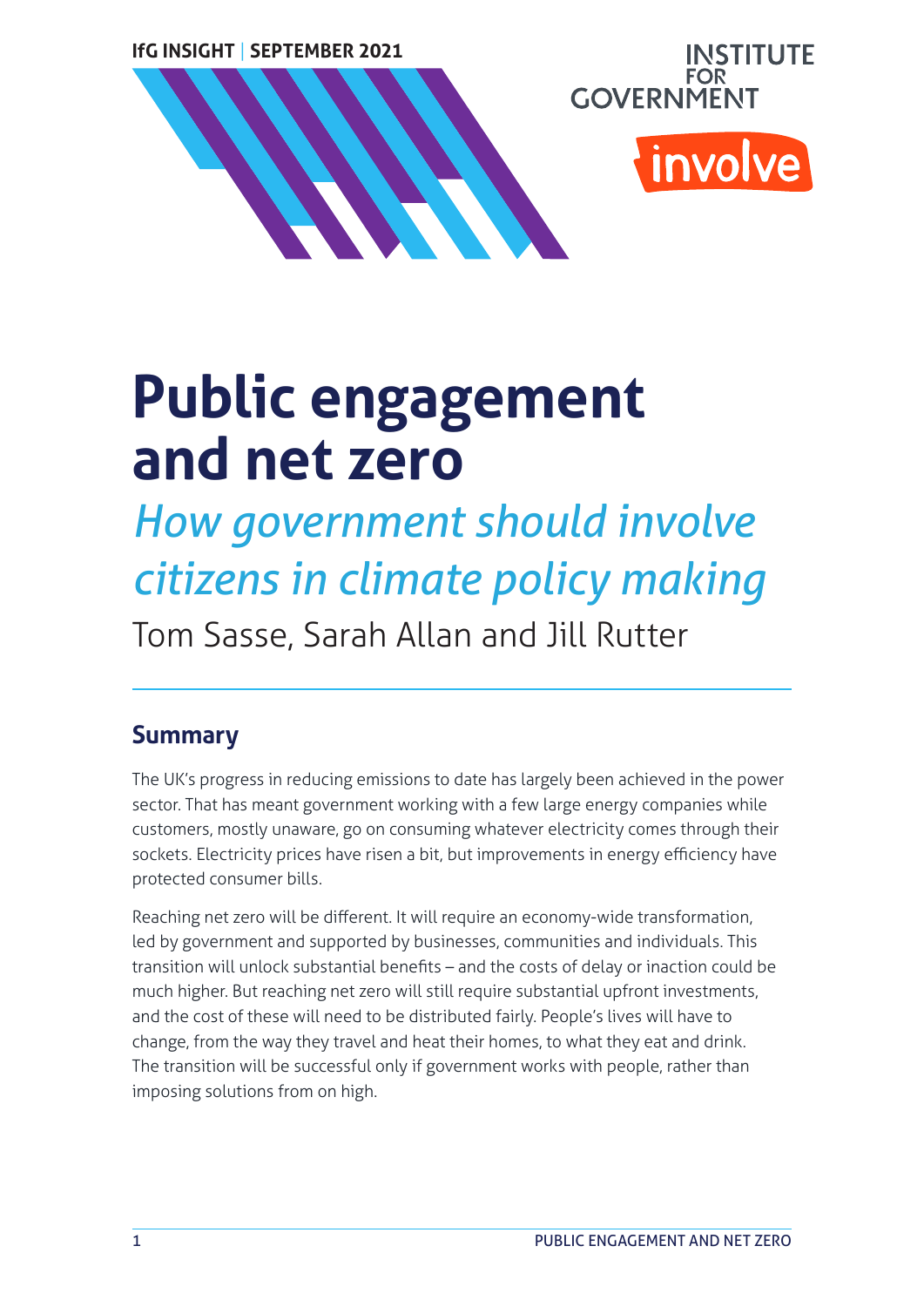**IfG INSIGHT** | **SEPTEMBER 2021**





# **Public engagement and net zero**

## *How government should involve citizens in climate policy making* Tom Sasse, Sarah Allan and Jill Rutter

## **Summary**

The UK's progress in reducing emissions to date has largely been achieved in the power sector. That has meant government working with a few large energy companies while customers, mostly unaware, go on consuming whatever electricity comes through their sockets. Electricity prices have risen a bit, but improvements in energy efficiency have protected consumer bills.

Reaching net zero will be different. It will require an economy-wide transformation, led by government and supported by businesses, communities and individuals. This transition will unlock substantial benefits – and the costs of delay or inaction could be much higher. But reaching net zero will still require substantial upfront investments, and the cost of these will need to be distributed fairly. People's lives will have to change, from the way they travel and heat their homes, to what they eat and drink. The transition will be successful only if government works with people, rather than imposing solutions from on high.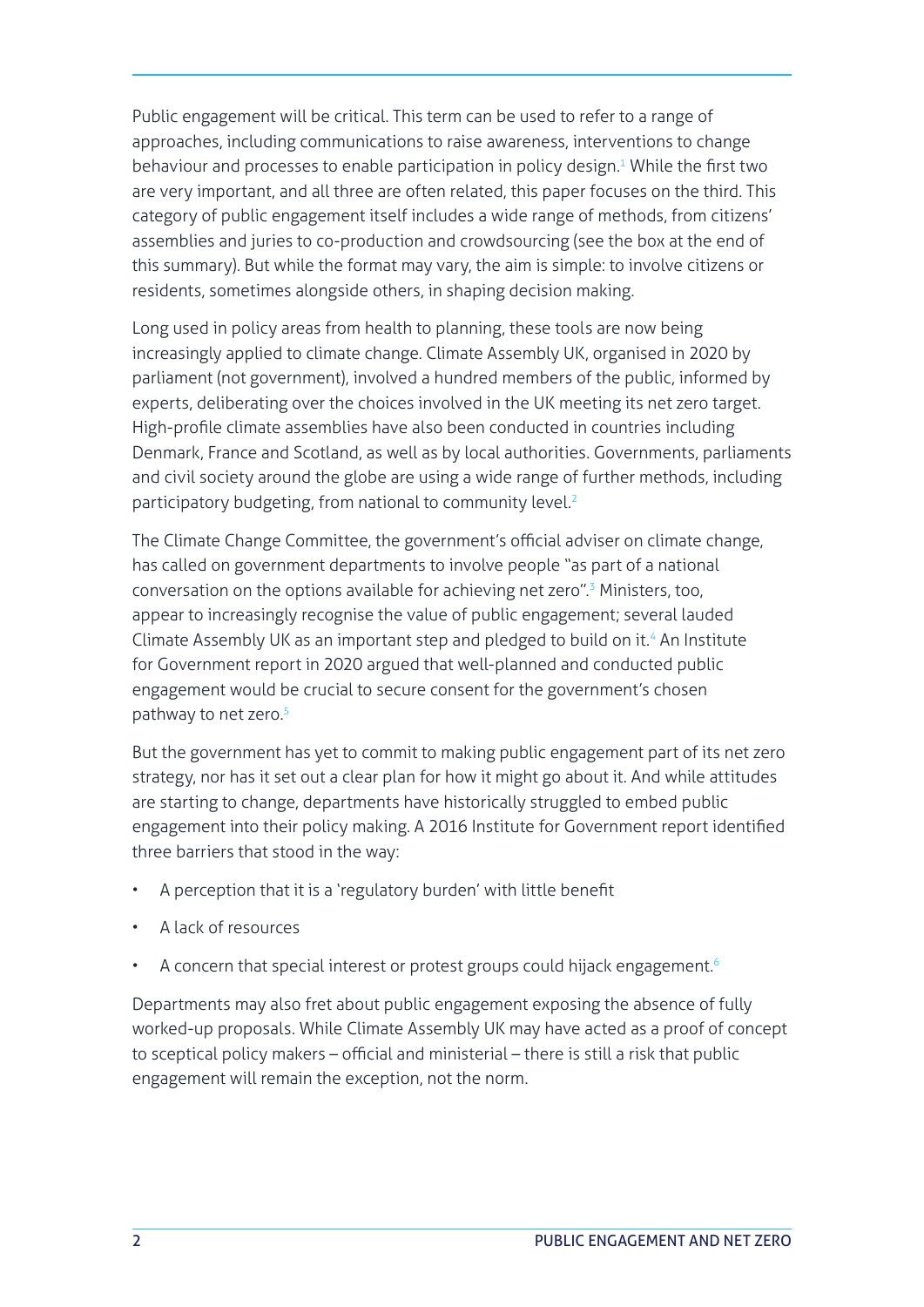<span id="page-1-0"></span>Public engagement will be critical. This term can be used to refer to a range of approaches, including communications to raise awareness, interventions to change behaviour and processes to enable participation in policy design.<sup>1</sup> While the first two are very important, and all three are often related, this paper focuses on the third. This category of public engagement itself includes a wide range of methods, from citizens' assemblies and juries to co-production and crowdsourcing (see the box at the end of this summary). But while the format may vary, the aim is simple: to involve citizens or residents, sometimes alongside others, in shaping decision making.

Long used in policy areas from health to planning, these tools are now being increasingly applied to climate change. Climate Assembly UK, organised in 2020 by parliament (not government), involved a hundred members of the public, informed by experts, deliberating over the choices involved in the UK meeting its net zero target. High-profile climate assemblies have also been conducted in countries including Denmark, France and Scotland, as well as by local authorities. Governments, parliaments and civil society around the globe are using a wide range of further methods, including participatory budgeting, from national to community level.<sup>2</sup>

The Climate Change Committee, the government's official adviser on climate change, has called on government departments to involve people "as part of a national conversation on the options available for achieving net zero".[3](#page-25-0) Ministers, too, appear to increasingly recognise the value of public engagement; several lauded Climate Assembly UK as an important step and pledged to build on it.<sup>[4](#page-25-0)</sup> An Institute for Government report in 2020 argued that well-planned and conducted public engagement would be crucial to secure consent for the government's chosen pathway to net zero.<sup>[5](#page-25-0)</sup>

But the government has yet to commit to making public engagement part of its net zero strategy, nor has it set out a clear plan for how it might go about it. And while attitudes are starting to change, departments have historically struggled to embed public engagement into their policy making. A 2016 Institute for Government report identified three barriers that stood in the way:

- A perception that it is a 'regulatory burden' with little benefit
- A lack of resources
- A concern that special interest or protest groups could hijack engagement.<sup>[6](#page-25-0)</sup>

Departments may also fret about public engagement exposing the absence of fully worked-up proposals. While Climate Assembly UK may have acted as a proof of concept to sceptical policy makers – official and ministerial – there is still a risk that public engagement will remain the exception, not the norm.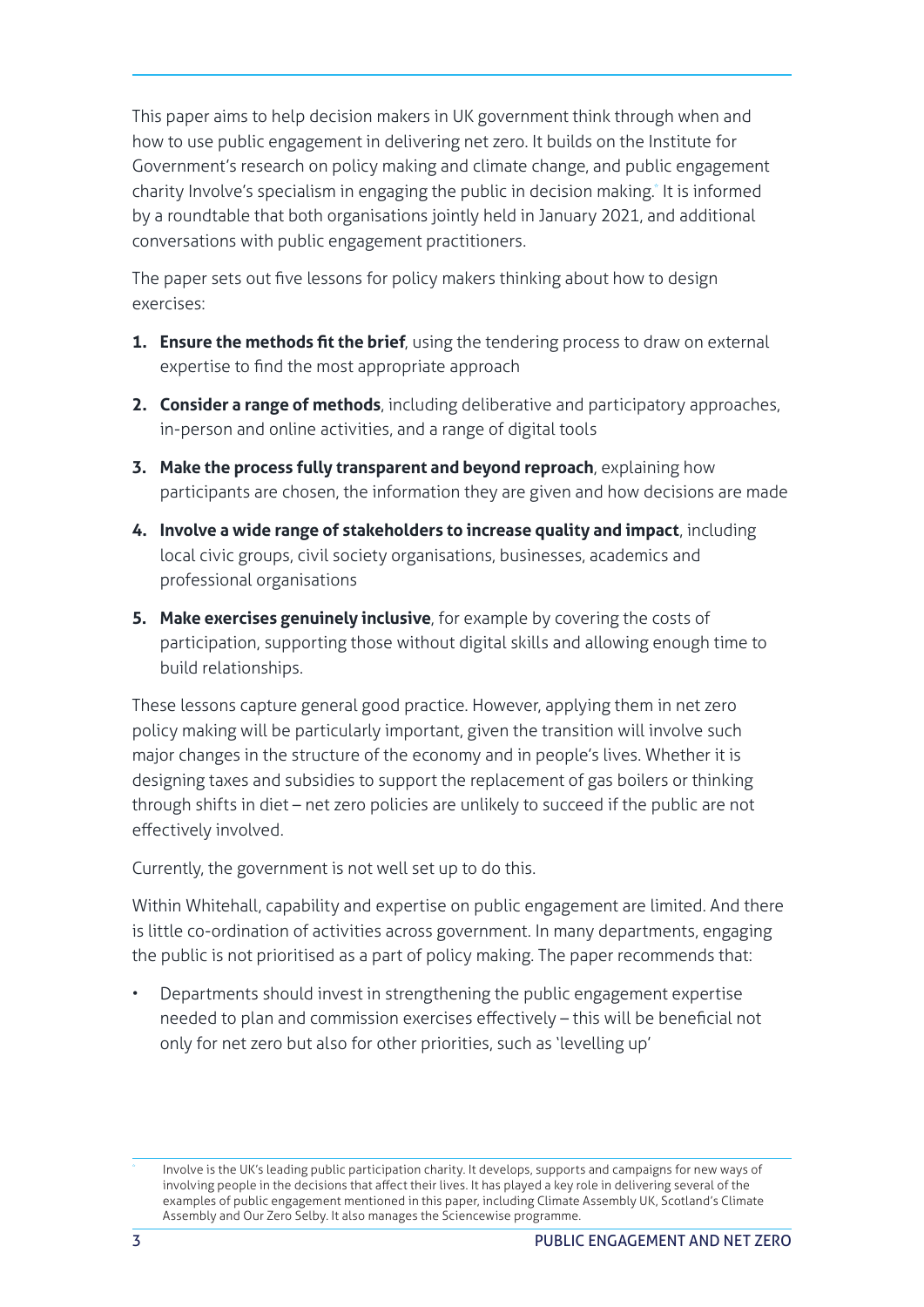This paper aims to help decision makers in UK government think through when and how to use public engagement in delivering net zero. It builds on the Institute for Government's research on policy making and climate change, and public engagement charity Involve's specialism in engaging the public in decision making.\* It is informed by a roundtable that both organisations jointly held in January 2021, and additional conversations with public engagement practitioners.

The paper sets out five lessons for policy makers thinking about how to design exercises:

- **1. Ensure the methods fit the brief**, using the tendering process to draw on external expertise to find the most appropriate approach
- **2. Consider a range of methods**, including deliberative and participatory approaches, in-person and online activities, and a range of digital tools
- **3. Make the process fully transparent and beyond reproach**, explaining how participants are chosen, the information they are given and how decisions are made
- **4. Involve a wide range of stakeholders to increase quality and impact**, including local civic groups, civil society organisations, businesses, academics and professional organisations
- **5. Make exercises genuinely inclusive**, for example by covering the costs of participation, supporting those without digital skills and allowing enough time to build relationships.

These lessons capture general good practice. However, applying them in net zero policy making will be particularly important, given the transition will involve such major changes in the structure of the economy and in people's lives. Whether it is designing taxes and subsidies to support the replacement of gas boilers or thinking through shifts in diet – net zero policies are unlikely to succeed if the public are not effectively involved.

Currently, the government is not well set up to do this.

Within Whitehall, capability and expertise on public engagement are limited. And there is little co-ordination of activities across government. In many departments, engaging the public is not prioritised as a part of policy making. The paper recommends that:

• Departments should invest in strengthening the public engagement expertise needed to plan and commission exercises effectively – this will be beneficial not only for net zero but also for other priorities, such as 'levelling up'

Involve is the UK's leading public participation charity. It develops, supports and campaigns for new ways of involving people in the decisions that affect their lives. It has played a key role in delivering several of the examples of public engagement mentioned in this paper, including Climate Assembly UK, Scotland's Climate Assembly and Our Zero Selby. It also manages the Sciencewise programme.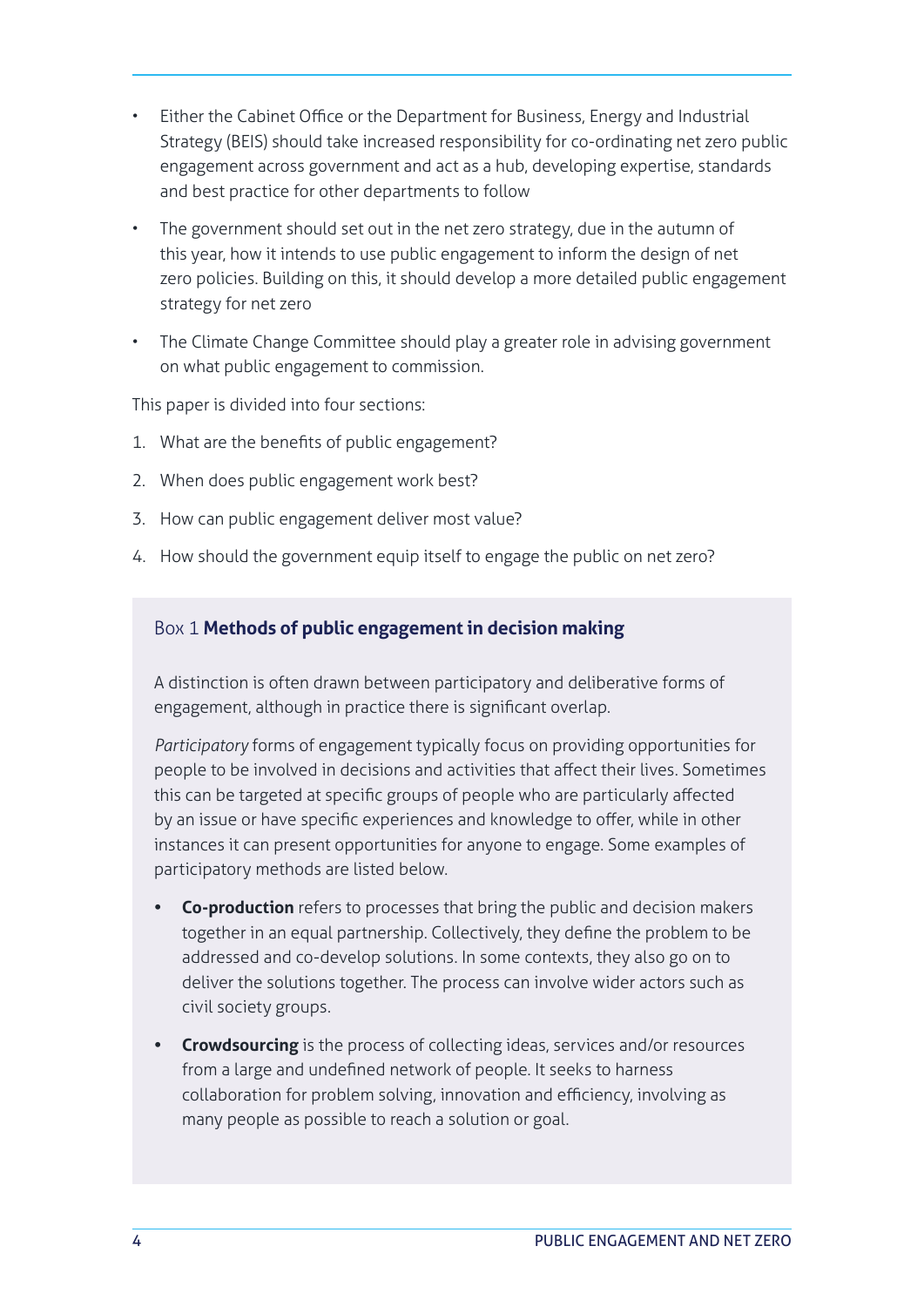- Either the Cabinet Office or the Department for Business, Energy and Industrial Strategy (BEIS) should take increased responsibility for co-ordinating net zero public engagement across government and act as a hub, developing expertise, standards and best practice for other departments to follow
- The government should set out in the net zero strategy, due in the autumn of this year, how it intends to use public engagement to inform the design of net zero policies. Building on this, it should develop a more detailed public engagement strategy for net zero
- The Climate Change Committee should play a greater role in advising government on what public engagement to commission.

This paper is divided into four sections:

- 1. What are the benefits of public engagement?
- 2. When does public engagement work best?
- 3. How can public engagement deliver most value?
- 4. How should the government equip itself to engage the public on net zero?

#### Box 1 **Methods of public engagement in decision making**

A distinction is often drawn between participatory and deliberative forms of engagement, although in practice there is significant overlap.

*Participatory* forms of engagement typically focus on providing opportunities for people to be involved in decisions and activities that affect their lives. Sometimes this can be targeted at specific groups of people who are particularly affected by an issue or have specific experiences and knowledge to offer, while in other instances it can present opportunities for anyone to engage. Some examples of participatory methods are listed below.

- **• Co-production** refers to processes that bring the public and decision makers together in an equal partnership. Collectively, they define the problem to be addressed and co-develop solutions. In some contexts, they also go on to deliver the solutions together. The process can involve wider actors such as civil society groups.
- **• Crowdsourcing** is the process of collecting ideas, services and/or resources from a large and undefined network of people. It seeks to harness collaboration for problem solving, innovation and efficiency, involving as many people as possible to reach a solution or goal.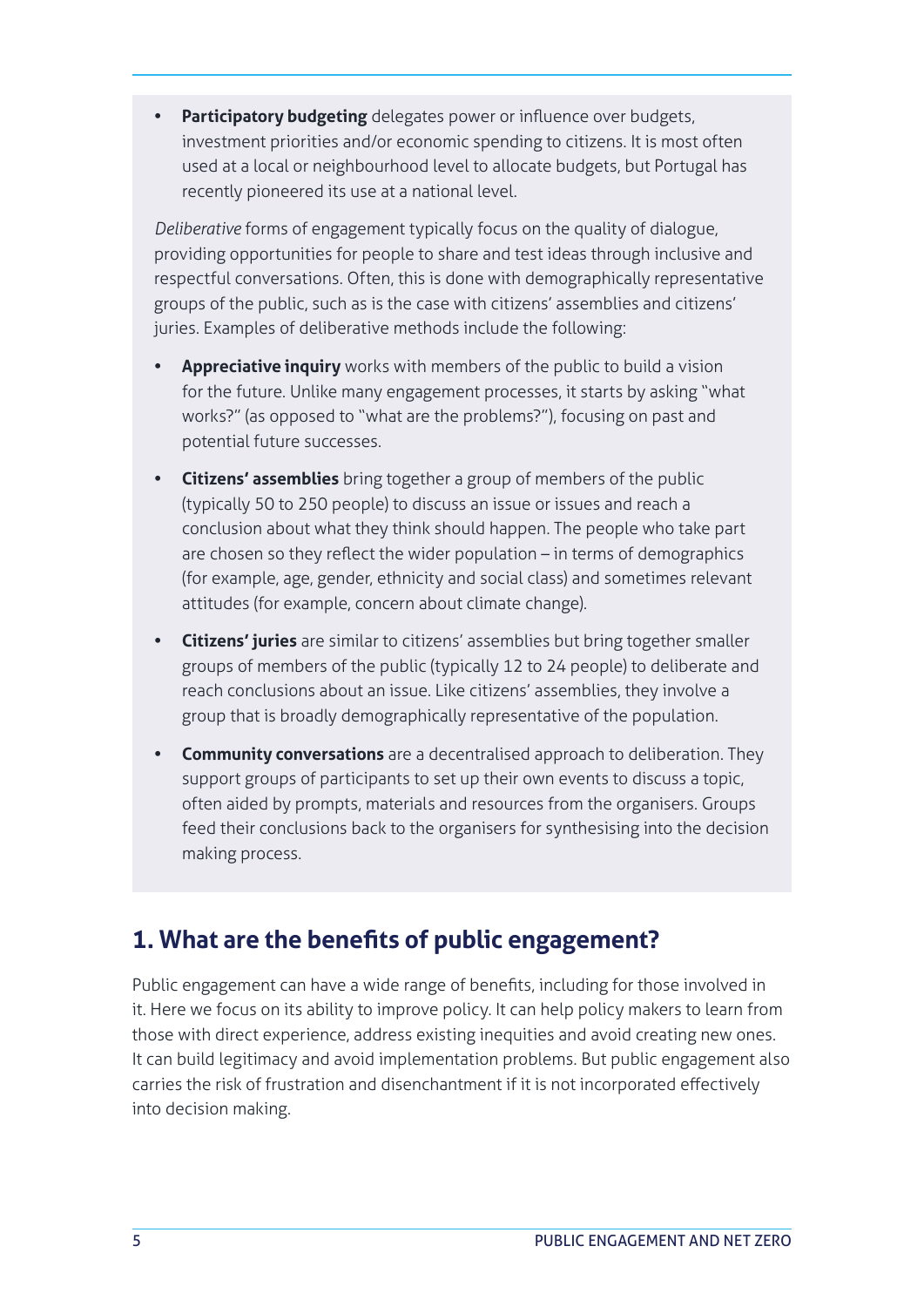**• Participatory budgeting** delegates power or influence over budgets, investment priorities and/or economic spending to citizens. It is most often used at a local or neighbourhood level to allocate budgets, but Portugal has recently pioneered its use at a national level.

*Deliberative* forms of engagement typically focus on the quality of dialogue, providing opportunities for people to share and test ideas through inclusive and respectful conversations. Often, this is done with demographically representative groups of the public, such as is the case with citizens' assemblies and citizens' juries. Examples of deliberative methods include the following:

- **• Appreciative inquiry** works with members of the public to build a vision for the future. Unlike many engagement processes, it starts by asking "what works?" (as opposed to "what are the problems?"), focusing on past and potential future successes.
- **• Citizens' assemblies** bring together a group of members of the public (typically 50 to 250 people) to discuss an issue or issues and reach a conclusion about what they think should happen. The people who take part are chosen so they reflect the wider population – in terms of demographics (for example, age, gender, ethnicity and social class) and sometimes relevant attitudes (for example, concern about climate change).
- **• Citizens' juries** are similar to citizens' assemblies but bring together smaller groups of members of the public (typically 12 to 24 people) to deliberate and reach conclusions about an issue. Like citizens' assemblies, they involve a group that is broadly demographically representative of the population.
- **• Community conversations** are a decentralised approach to deliberation. They support groups of participants to set up their own events to discuss a topic, often aided by prompts, materials and resources from the organisers. Groups feed their conclusions back to the organisers for synthesising into the decision making process.

## **1. What are the benefits of public engagement?**

Public engagement can have a wide range of benefits, including for those involved in it. Here we focus on its ability to improve policy. It can help policy makers to learn from those with direct experience, address existing inequities and avoid creating new ones. It can build legitimacy and avoid implementation problems. But public engagement also carries the risk of frustration and disenchantment if it is not incorporated effectively into decision making.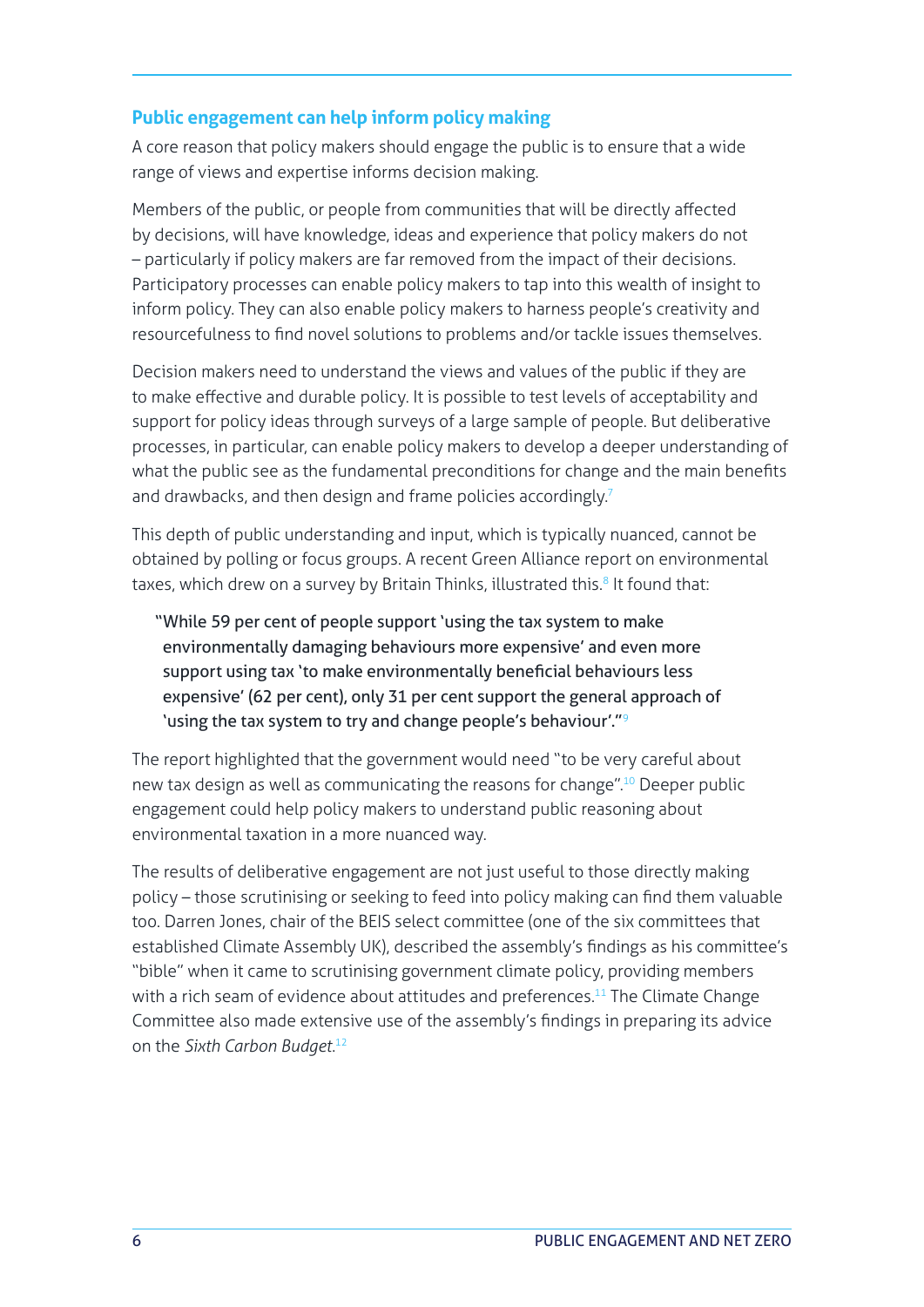#### <span id="page-5-0"></span>**Public engagement can help inform policy making**

A core reason that policy makers should engage the public is to ensure that a wide range of views and expertise informs decision making.

Members of the public, or people from communities that will be directly affected by decisions, will have knowledge, ideas and experience that policy makers do not – particularly if policy makers are far removed from the impact of their decisions. Participatory processes can enable policy makers to tap into this wealth of insight to inform policy. They can also enable policy makers to harness people's creativity and resourcefulness to find novel solutions to problems and/or tackle issues themselves.

Decision makers need to understand the views and values of the public if they are to make effective and durable policy. It is possible to test levels of acceptability and support for policy ideas through surveys of a large sample of people. But deliberative processes, in particular, can enable policy makers to develop a deeper understanding of what the public see as the fundamental preconditions for change and the main benefits and drawbacks, and then design and frame policies accordingly.<sup>[7](#page-25-0)</sup>

This depth of public understanding and input, which is typically nuanced, cannot be obtained by polling or focus groups. A recent Green Alliance report on environmental taxes, which drew on a survey by Britain Thinks, illustrated this.<sup>[8](#page-25-0)</sup> It found that:

"While 59 per cent of people support 'using the tax system to make environmentally damaging behaviours more expensive' and even more support using tax 'to make environmentally beneficial behaviours less expensive' (62 per cent), only 31 per cent support the general approach of 'using the tax system to try and change people's behaviour'."[9](#page-25-0)

The report highlighted that the government would need "to be very careful about new tax design as well as communicating the reasons for change".<sup>[10](#page-25-0)</sup> Deeper public engagement could help policy makers to understand public reasoning about environmental taxation in a more nuanced way.

The results of deliberative engagement are not just useful to those directly making policy – those scrutinising or seeking to feed into policy making can find them valuable too. Darren Jones, chair of the BEIS select committee (one of the six committees that established Climate Assembly UK), described the assembly's findings as his committee's "bible" when it came to scrutinising government climate policy, providing members with a rich seam of evidence about attitudes and preferences.<sup>11</sup> The Climate Change Committee also made extensive use of the assembly's findings in preparing its advice on the *Sixth Carbon Budget*. [12](#page-25-0)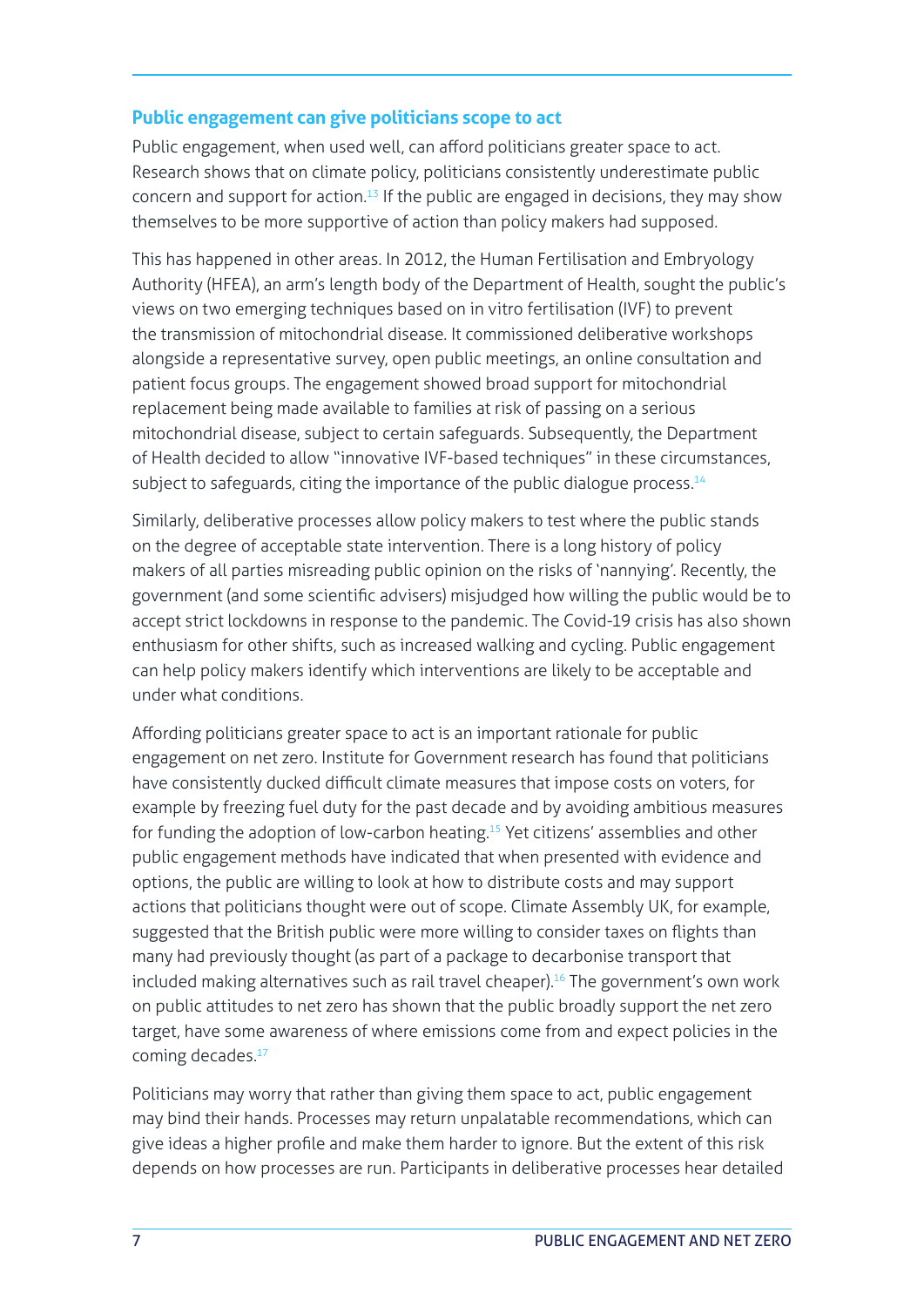#### **Public engagement can give politicians scope to act**

Public engagement, when used well, can afford politicians greater space to act. Research shows that on climate policy, politicians consistently underestimate public concern and support for action.<sup>13</sup> If the public are engaged in decisions, they may show themselves to be more supportive of action than policy makers had supposed.

This has happened in other areas. In 2012, the Human Fertilisation and Embryology Authority (HFEA), an arm's length body of the Department of Health, sought the public's views on two emerging techniques based on in vitro fertilisation (IVF) to prevent the transmission of mitochondrial disease. It commissioned deliberative workshops alongside a representative survey, open public meetings, an online consultation and patient focus groups. The engagement showed broad support for mitochondrial replacement being made available to families at risk of passing on a serious mitochondrial disease, subject to certain safeguards. Subsequently, the Department of Health decided to allow "innovative IVF-based techniques" in these circumstances, subject to safeguards, citing the importance of the public dialogue process.<sup>14</sup>

Similarly, deliberative processes allow policy makers to test where the public stands on the degree of acceptable state intervention. There is a long history of policy makers of all parties misreading public opinion on the risks of 'nannying'. Recently, the government (and some scientific advisers) misjudged how willing the public would be to accept strict lockdowns in response to the pandemic. The Covid-19 crisis has also shown enthusiasm for other shifts, such as increased walking and cycling. Public engagement can help policy makers identify which interventions are likely to be acceptable and under what conditions.

Affording politicians greater space to act is an important rationale for public engagement on net zero. Institute for Government research has found that politicians have consistently ducked difficult climate measures that impose costs on voters, for example by freezing fuel duty for the past decade and by avoiding ambitious measures for funding the adoption of low-carbon heating.<sup>[15](#page-25-0)</sup> Yet citizens' assemblies and other public engagement methods have indicated that when presented with evidence and options, the public are willing to look at how to distribute costs and may support actions that politicians thought were out of scope. Climate Assembly UK, for example, suggested that the British public were more willing to consider taxes on flights than many had previously thought (as part of a package to decarbonise transport that included making alternatives such as rail travel cheaper).<sup>[16](#page-25-0)</sup> The government's own work on public attitudes to net zero has shown that the public broadly support the net zero target, have some awareness of where emissions come from and expect policies in the coming decades.<sup>17</sup>

Politicians may worry that rather than giving them space to act, public engagement may bind their hands. Processes may return unpalatable recommendations, which can give ideas a higher profile and make them harder to ignore. But the extent of this risk depends on how processes are run. Participants in deliberative processes hear detailed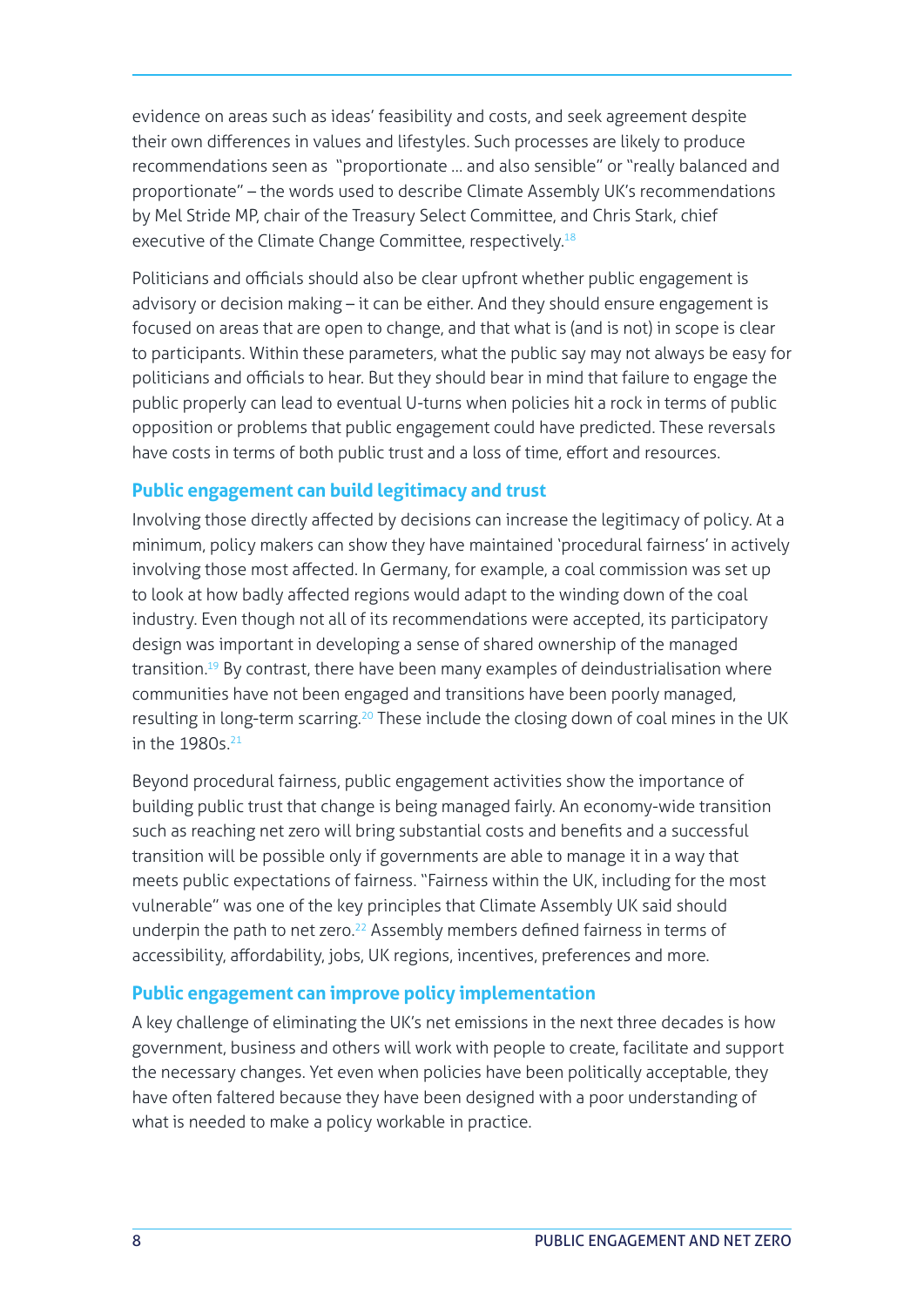<span id="page-7-0"></span>evidence on areas such as ideas' feasibility and costs, and seek agreement despite their own differences in values and lifestyles. Such processes are likely to produce recommendations seen as "proportionate … and also sensible" or "really balanced and proportionate" – the words used to describe Climate Assembly UK's recommendations by Mel Stride MP, chair of the Treasury Select Committee, and Chris Stark, chief executive of the Climate Change Committee, respectively.<sup>[18](#page-25-0)</sup>

Politicians and officials should also be clear upfront whether public engagement is advisory or decision making – it can be either. And they should ensure engagement is focused on areas that are open to change, and that what is (and is not) in scope is clear to participants. Within these parameters, what the public say may not always be easy for politicians and officials to hear. But they should bear in mind that failure to engage the public properly can lead to eventual U-turns when policies hit a rock in terms of public opposition or problems that public engagement could have predicted. These reversals have costs in terms of both public trust and a loss of time, effort and resources.

#### **Public engagement can build legitimacy and trust**

Involving those directly affected by decisions can increase the legitimacy of policy. At a minimum, policy makers can show they have maintained 'procedural fairness' in actively involving those most affected. In Germany, for example, a coal commission was set up to look at how badly affected regions would adapt to the winding down of the coal industry. Even though not all of its recommendations were accepted, its participatory design was important in developing a sense of shared ownership of the managed transition.<sup>[19](#page-25-0)</sup> By contrast, there have been many examples of deindustrialisation where communities have not been engaged and transitions have been poorly managed, resulting in long-term scarring.<sup>20</sup> These include the closing down of coal mines in the UK in the  $1980s<sup>21</sup>$ 

Beyond procedural fairness, public engagement activities show the importance of building public trust that change is being managed fairly. An economy-wide transition such as reaching net zero will bring substantial costs and benefits and a successful transition will be possible only if governments are able to manage it in a way that meets public expectations of fairness. "Fairness within the UK, including for the most vulnerable" was one of the key principles that Climate Assembly UK said should underpin the path to net zero.<sup>[22](#page-26-0)</sup> Assembly members defined fairness in terms of accessibility, affordability, jobs, UK regions, incentives, preferences and more.

#### **Public engagement can improve policy implementation**

A key challenge of eliminating the UK's net emissions in the next three decades is how government, business and others will work with people to create, facilitate and support the necessary changes. Yet even when policies have been politically acceptable, they have often faltered because they have been designed with a poor understanding of what is needed to make a policy workable in practice.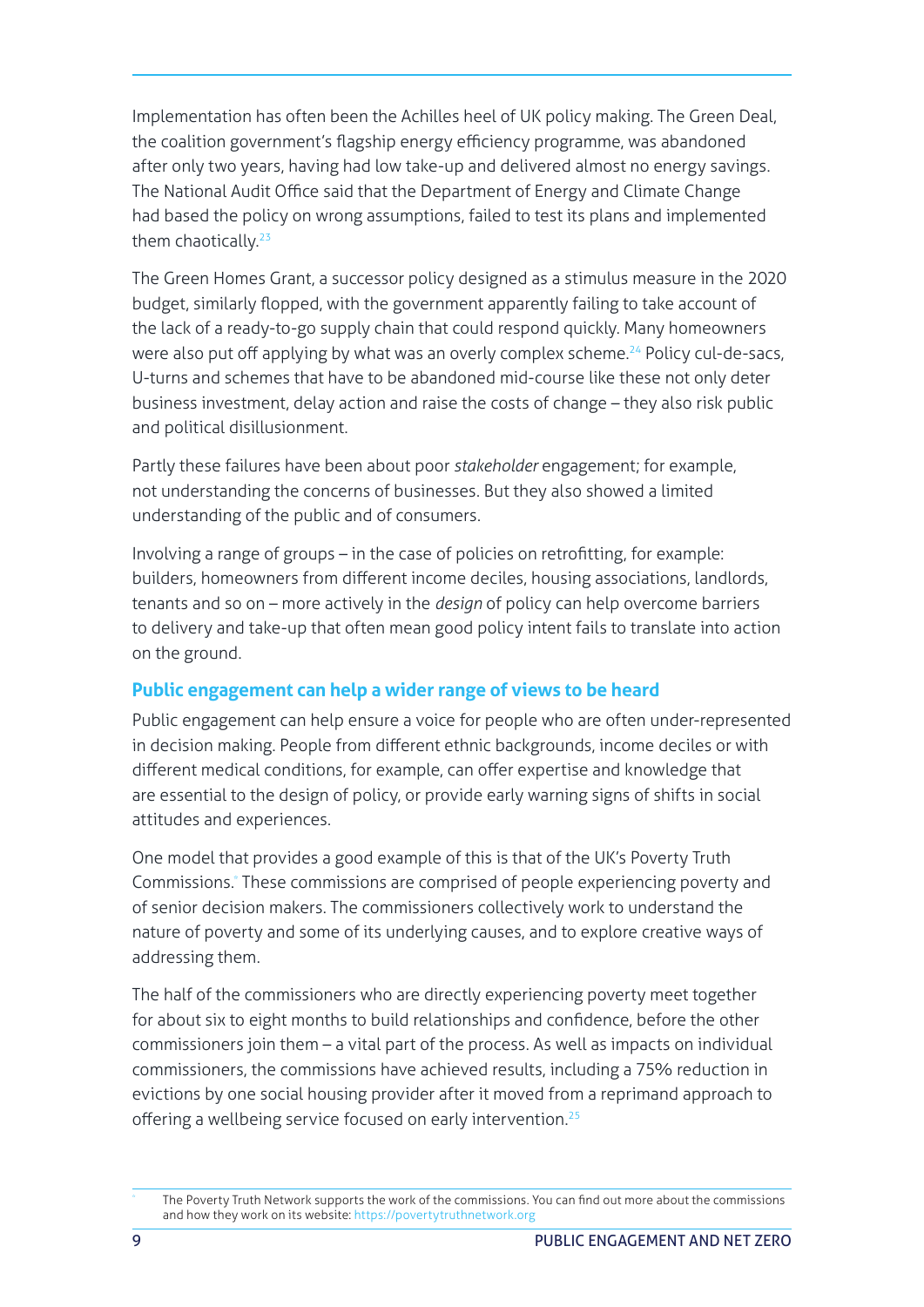<span id="page-8-0"></span>Implementation has often been the Achilles heel of UK policy making. The Green Deal, the coalition government's flagship energy efficiency programme, was abandoned after only two years, having had low take-up and delivered almost no energy savings. The National Audit Office said that the Department of Energy and Climate Change had based the policy on wrong assumptions, failed to test its plans and implemented them chaotically.<sup>[23](#page-26-0)</sup>

The Green Homes Grant, a successor policy designed as a stimulus measure in the 2020 budget, similarly flopped, with the government apparently failing to take account of the lack of a ready-to-go supply chain that could respond quickly. Many homeowners were also put off applying by what was an overly complex scheme.<sup>[24](#page-26-0)</sup> Policy cul-de-sacs, U-turns and schemes that have to be abandoned mid-course like these not only deter business investment, delay action and raise the costs of change – they also risk public and political disillusionment.

Partly these failures have been about poor *stakeholder* engagement; for example, not understanding the concerns of businesses. But they also showed a limited understanding of the public and of consumers.

Involving a range of groups – in the case of policies on retrofitting, for example: builders, homeowners from different income deciles, housing associations, landlords, tenants and so on – more actively in the *design* of policy can help overcome barriers to delivery and take-up that often mean good policy intent fails to translate into action on the ground.

#### **Public engagement can help a wider range of views to be heard**

Public engagement can help ensure a voice for people who are often under-represented in decision making. People from different ethnic backgrounds, income deciles or with different medical conditions, for example, can offer expertise and knowledge that are essential to the design of policy, or provide early warning signs of shifts in social attitudes and experiences.

One model that provides a good example of this is that of the UK's Poverty Truth Commissions.\* These commissions are comprised of people experiencing poverty and of senior decision makers. The commissioners collectively work to understand the nature of poverty and some of its underlying causes, and to explore creative ways of addressing them.

The half of the commissioners who are directly experiencing poverty meet together for about six to eight months to build relationships and confidence, before the other commissioners join them – a vital part of the process. As well as impacts on individual commissioners, the commissions have achieved results, including a 75% reduction in evictions by one social housing provider after it moved from a reprimand approach to offering a wellbeing service focused on early intervention.<sup>[25](#page-26-0)</sup>

The Poverty Truth Network supports the work of the commissions. You can find out more about the commissions and how they work on its website:<https://povertytruthnetwork.org>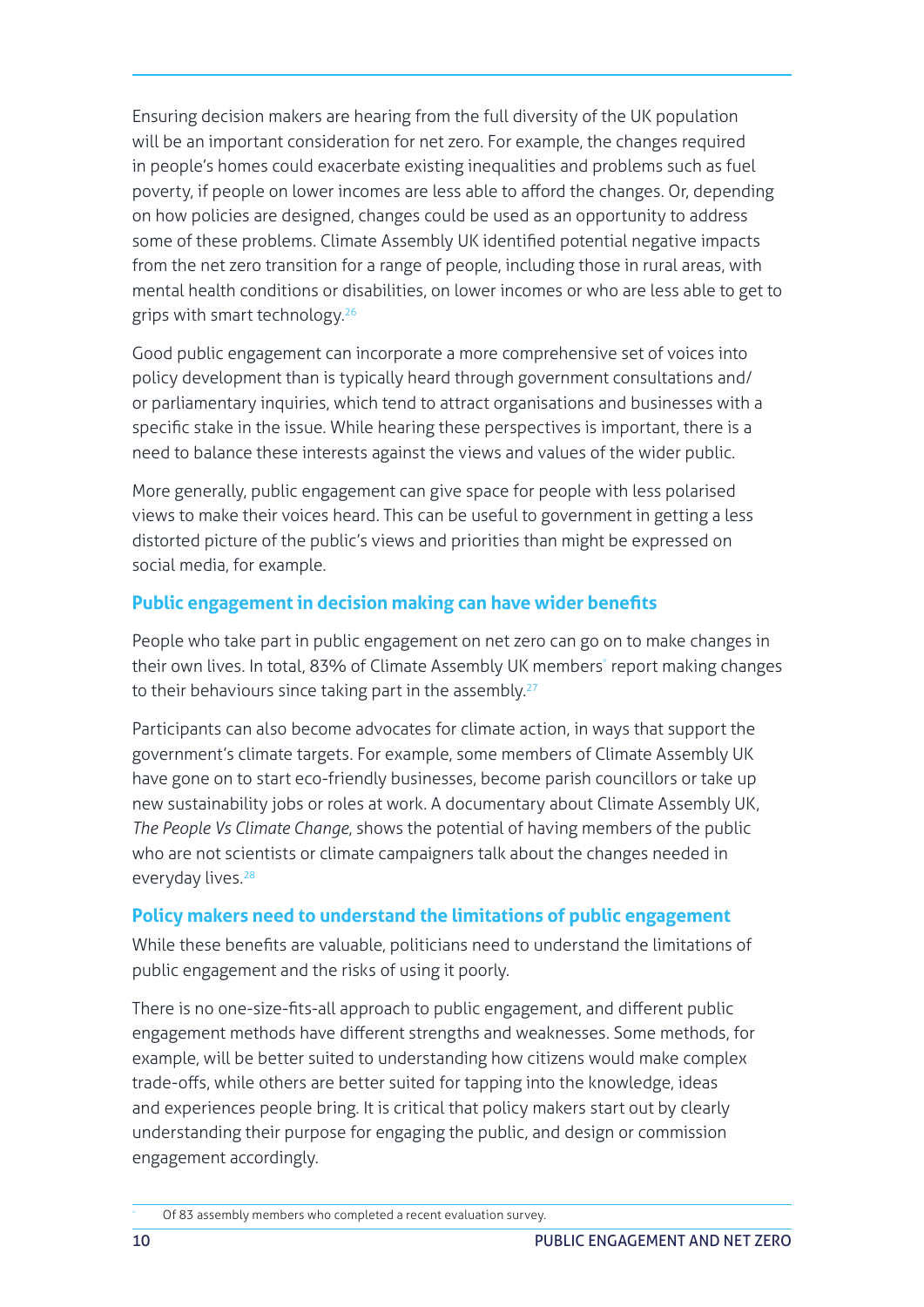<span id="page-9-0"></span>Ensuring decision makers are hearing from the full diversity of the UK population will be an important consideration for net zero. For example, the changes required in people's homes could exacerbate existing inequalities and problems such as fuel poverty, if people on lower incomes are less able to afford the changes. Or, depending on how policies are designed, changes could be used as an opportunity to address some of these problems. Climate Assembly UK identified potential negative impacts from the net zero transition for a range of people, including those in rural areas, with mental health conditions or disabilities, on lower incomes or who are less able to get to grips with smart technology[.26](#page-26-0)

Good public engagement can incorporate a more comprehensive set of voices into policy development than is typically heard through government consultations and/ or parliamentary inquiries, which tend to attract organisations and businesses with a specific stake in the issue. While hearing these perspectives is important, there is a need to balance these interests against the views and values of the wider public.

More generally, public engagement can give space for people with less polarised views to make their voices heard. This can be useful to government in getting a less distorted picture of the public's views and priorities than might be expressed on social media, for example.

#### **Public engagement in decision making can have wider benefits**

People who take part in public engagement on net zero can go on to make changes in their own lives. In total, 83% of Climate Assembly UK members<sup>\*</sup> report making changes to their behaviours since taking part in the assembly.<sup>27</sup>

Participants can also become advocates for climate action, in ways that support the government's climate targets. For example, some members of Climate Assembly UK have gone on to start eco-friendly businesses, become parish councillors or take up new sustainability jobs or roles at work. A documentary about Climate Assembly UK, *The People Vs Climate Change*, shows the potential of having members of the public who are not scientists or climate campaigners talk about the changes needed in everyday lives.<sup>[28](#page-26-0)</sup>

#### **Policy makers need to understand the limitations of public engagement**

While these benefits are valuable, politicians need to understand the limitations of public engagement and the risks of using it poorly.

There is no one-size-fits-all approach to public engagement, and different public engagement methods have different strengths and weaknesses. Some methods, for example, will be better suited to understanding how citizens would make complex trade-offs, while others are better suited for tapping into the knowledge, ideas and experiences people bring. It is critical that policy makers start out by clearly understanding their purpose for engaging the public, and design or commission engagement accordingly.

Of 83 assembly members who completed a recent evaluation survey.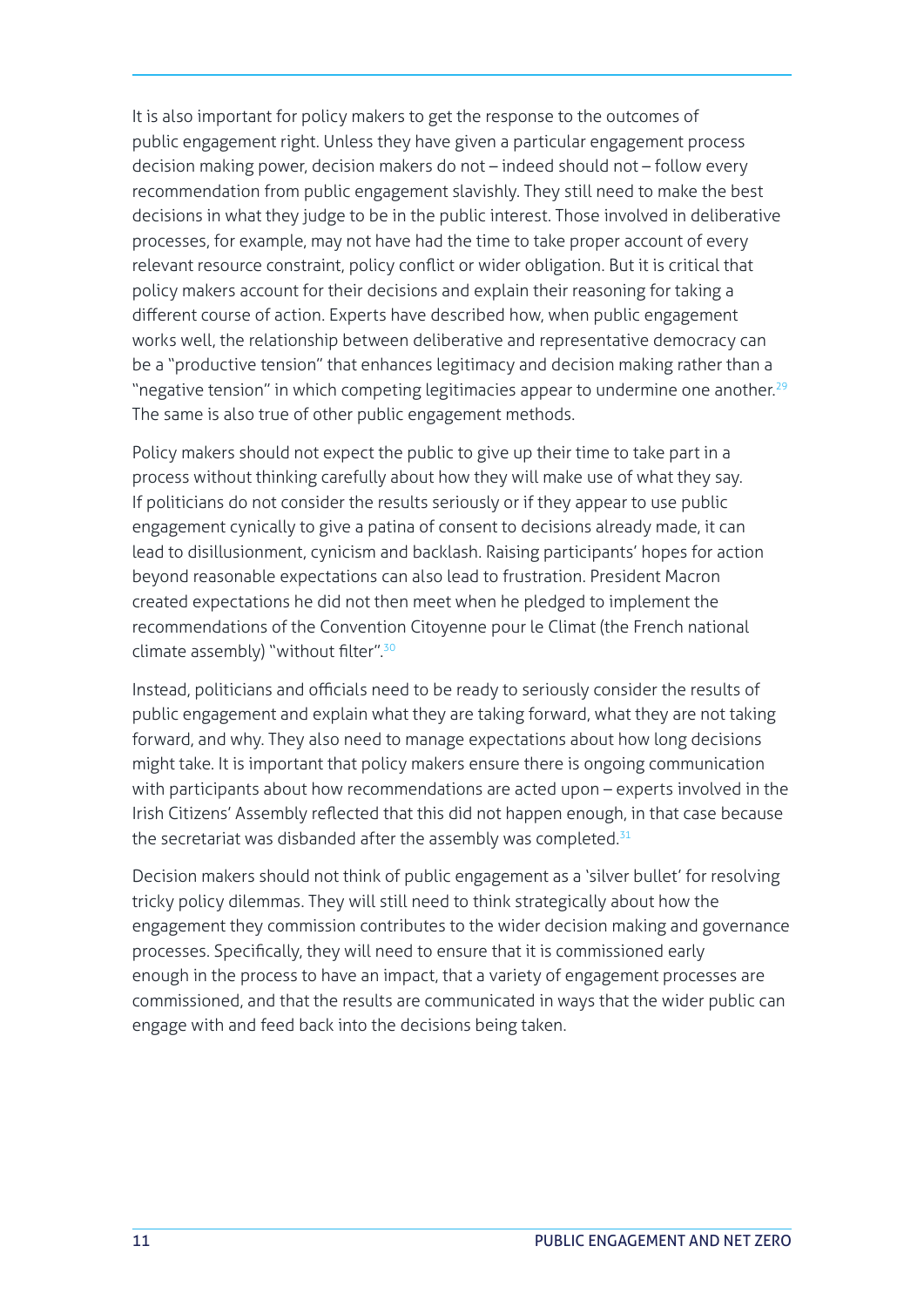<span id="page-10-0"></span>It is also important for policy makers to get the response to the outcomes of public engagement right. Unless they have given a particular engagement process decision making power, decision makers do not – indeed should not – follow every recommendation from public engagement slavishly. They still need to make the best decisions in what they judge to be in the public interest. Those involved in deliberative processes, for example, may not have had the time to take proper account of every relevant resource constraint, policy conflict or wider obligation. But it is critical that policy makers account for their decisions and explain their reasoning for taking a different course of action. Experts have described how, when public engagement works well, the relationship between deliberative and representative democracy can be a "productive tension" that enhances legitimacy and decision making rather than a "negative tension" in which competing legitimacies appear to undermine one another.<sup>[29](#page-26-0)</sup> The same is also true of other public engagement methods.

Policy makers should not expect the public to give up their time to take part in a process without thinking carefully about how they will make use of what they say. If politicians do not consider the results seriously or if they appear to use public engagement cynically to give a patina of consent to decisions already made, it can lead to disillusionment, cynicism and backlash. Raising participants' hopes for action beyond reasonable expectations can also lead to frustration. President Macron created expectations he did not then meet when he pledged to implement the recommendations of the Convention Citoyenne pour le Climat (the French national climate assembly) "without filter".[30](#page-26-0)

Instead, politicians and officials need to be ready to seriously consider the results of public engagement and explain what they are taking forward, what they are not taking forward, and why. They also need to manage expectations about how long decisions might take. It is important that policy makers ensure there is ongoing communication with participants about how recommendations are acted upon – experts involved in the Irish Citizens' Assembly reflected that this did not happen enough, in that case because the secretariat was disbanded after the assembly was completed. $31$ 

Decision makers should not think of public engagement as a 'silver bullet' for resolving tricky policy dilemmas. They will still need to think strategically about how the engagement they commission contributes to the wider decision making and governance processes. Specifically, they will need to ensure that it is commissioned early enough in the process to have an impact, that a variety of engagement processes are commissioned, and that the results are communicated in ways that the wider public can engage with and feed back into the decisions being taken.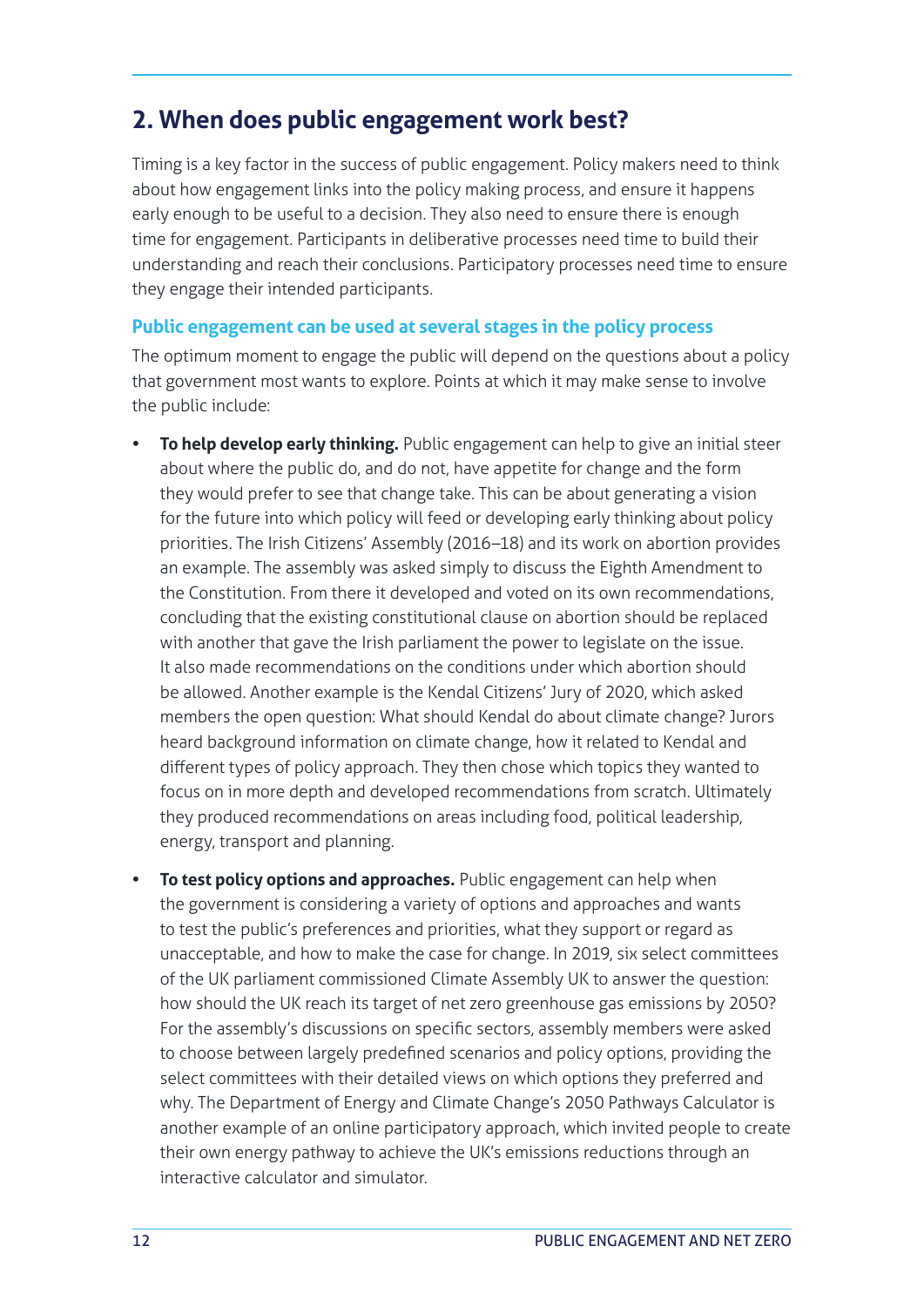## **2. When does public engagement work best?**

Timing is a key factor in the success of public engagement. Policy makers need to think about how engagement links into the policy making process, and ensure it happens early enough to be useful to a decision. They also need to ensure there is enough time for engagement. Participants in deliberative processes need time to build their understanding and reach their conclusions. Participatory processes need time to ensure they engage their intended participants.

#### **Public engagement can be used at several stages in the policy process**

The optimum moment to engage the public will depend on the questions about a policy that government most wants to explore. Points at which it may make sense to involve the public include:

- **• To help develop early thinking.** Public engagement can help to give an initial steer about where the public do, and do not, have appetite for change and the form they would prefer to see that change take. This can be about generating a vision for the future into which policy will feed or developing early thinking about policy priorities. The Irish Citizens' Assembly (2016–18) and its work on abortion provides an example. The assembly was asked simply to discuss the Eighth Amendment to the Constitution. From there it developed and voted on its own recommendations, concluding that the existing constitutional clause on abortion should be replaced with another that gave the Irish parliament the power to legislate on the issue. It also made recommendations on the conditions under which abortion should be allowed. Another example is the Kendal Citizens' Jury of 2020, which asked members the open question: What should Kendal do about climate change? Jurors heard background information on climate change, how it related to Kendal and different types of policy approach. They then chose which topics they wanted to focus on in more depth and developed recommendations from scratch. Ultimately they produced recommendations on areas including food, political leadership, energy, transport and planning.
- **• To test policy options and approaches.** Public engagement can help when the government is considering a variety of options and approaches and wants to test the public's preferences and priorities, what they support or regard as unacceptable, and how to make the case for change. In 2019, six select committees of the UK parliament commissioned Climate Assembly UK to answer the question: how should the UK reach its target of net zero greenhouse gas emissions by 2050? For the assembly's discussions on specific sectors, assembly members were asked to choose between largely predefined scenarios and policy options, providing the select committees with their detailed views on which options they preferred and why. The Department of Energy and Climate Change's 2050 Pathways Calculator is another example of an online participatory approach, which invited people to create their own energy pathway to achieve the UK's emissions reductions through an interactive calculator and simulator.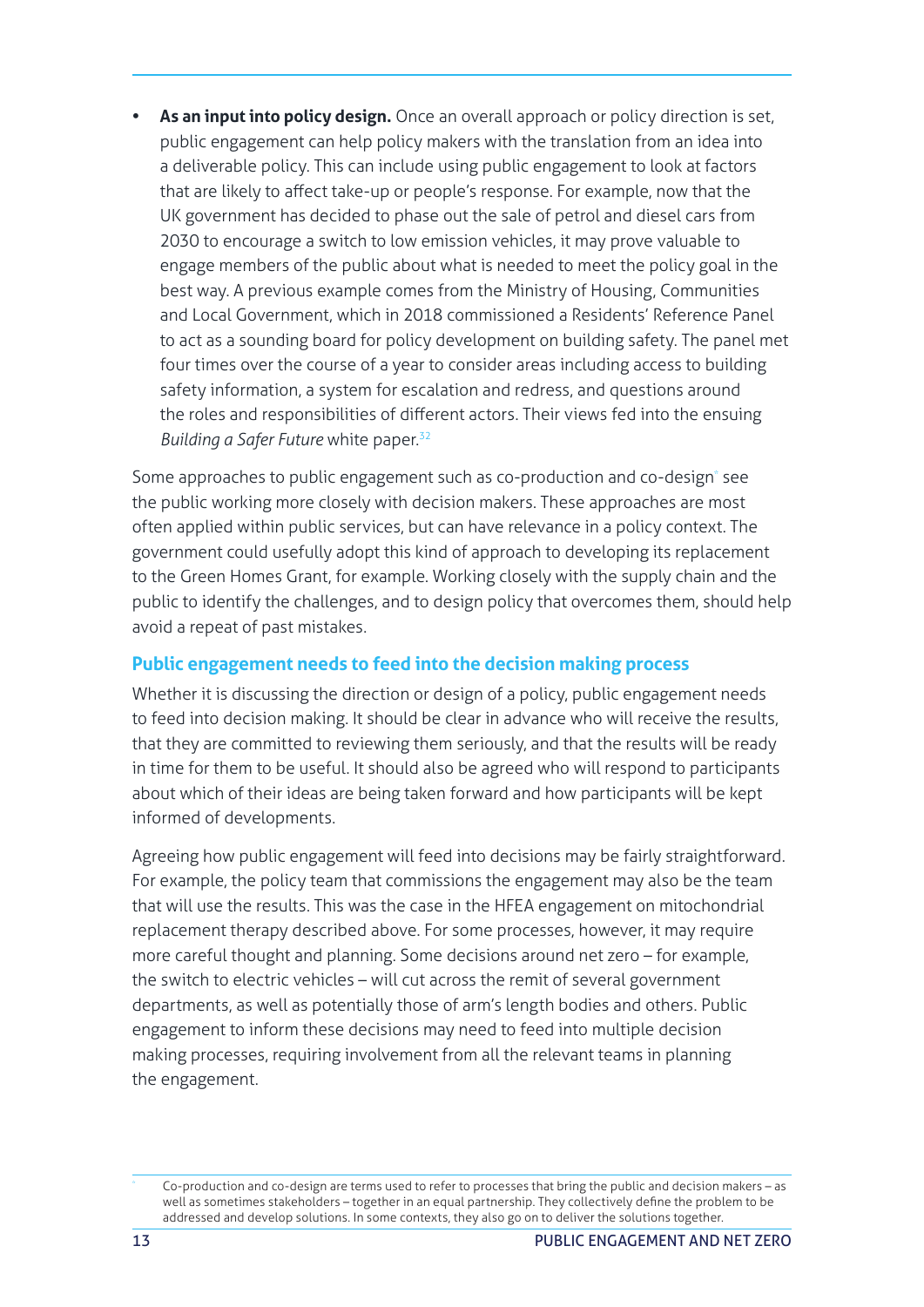<span id="page-12-0"></span>**• As an input into policy design.** Once an overall approach or policy direction is set, public engagement can help policy makers with the translation from an idea into a deliverable policy. This can include using public engagement to look at factors that are likely to affect take-up or people's response. For example, now that the UK government has decided to phase out the sale of petrol and diesel cars from 2030 to encourage a switch to low emission vehicles, it may prove valuable to engage members of the public about what is needed to meet the policy goal in the best way. A previous example comes from the Ministry of Housing, Communities and Local Government, which in 2018 commissioned a Residents' Reference Panel to act as a sounding board for policy development on building safety. The panel met four times over the course of a year to consider areas including access to building safety information, a system for escalation and redress, and questions around the roles and responsibilities of different actors. Their views fed into the ensuing *Building a Safer Future* white paper[.32](#page-26-0)

Some approaches to public engagement such as co-production and co-design<sup>\*</sup> see the public working more closely with decision makers. These approaches are most often applied within public services, but can have relevance in a policy context. The government could usefully adopt this kind of approach to developing its replacement to the Green Homes Grant, for example. Working closely with the supply chain and the public to identify the challenges, and to design policy that overcomes them, should help avoid a repeat of past mistakes.

#### **Public engagement needs to feed into the decision making process**

Whether it is discussing the direction or design of a policy, public engagement needs to feed into decision making. It should be clear in advance who will receive the results, that they are committed to reviewing them seriously, and that the results will be ready in time for them to be useful. It should also be agreed who will respond to participants about which of their ideas are being taken forward and how participants will be kept informed of developments.

Agreeing how public engagement will feed into decisions may be fairly straightforward. For example, the policy team that commissions the engagement may also be the team that will use the results. This was the case in the HFEA engagement on mitochondrial replacement therapy described above. For some processes, however, it may require more careful thought and planning. Some decisions around net zero – for example, the switch to electric vehicles – will cut across the remit of several government departments, as well as potentially those of arm's length bodies and others. Public engagement to inform these decisions may need to feed into multiple decision making processes, requiring involvement from all the relevant teams in planning the engagement.

<sup>\*</sup> Co-production and co-design are terms used to refer to processes that bring the public and decision makers – as well as sometimes stakeholders – together in an equal partnership. They collectively define the problem to be addressed and develop solutions. In some contexts, they also go on to deliver the solutions together.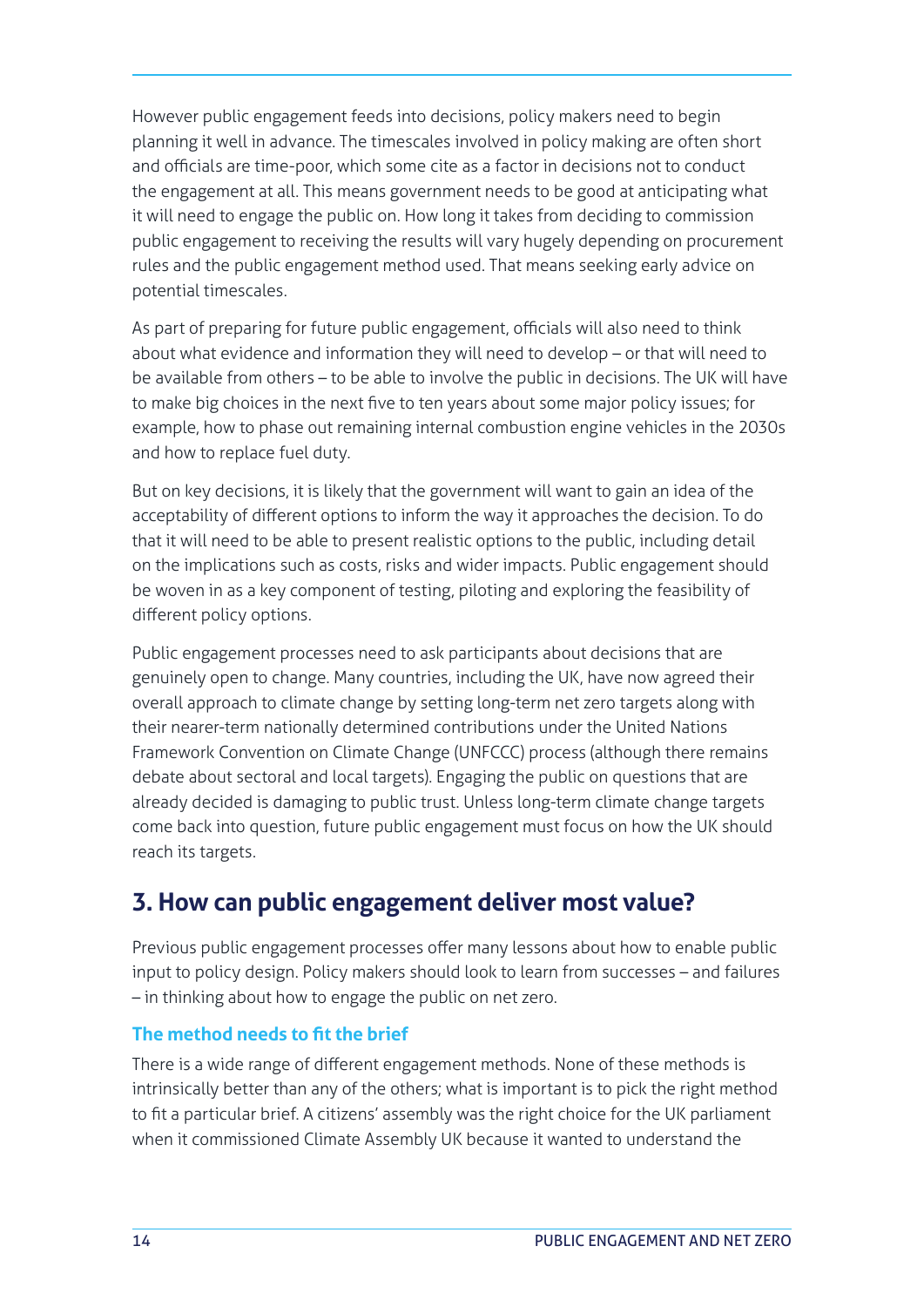However public engagement feeds into decisions, policy makers need to begin planning it well in advance. The timescales involved in policy making are often short and officials are time-poor, which some cite as a factor in decisions not to conduct the engagement at all. This means government needs to be good at anticipating what it will need to engage the public on. How long it takes from deciding to commission public engagement to receiving the results will vary hugely depending on procurement rules and the public engagement method used. That means seeking early advice on potential timescales.

As part of preparing for future public engagement, officials will also need to think about what evidence and information they will need to develop – or that will need to be available from others – to be able to involve the public in decisions. The UK will have to make big choices in the next five to ten years about some major policy issues; for example, how to phase out remaining internal combustion engine vehicles in the 2030s and how to replace fuel duty.

But on key decisions, it is likely that the government will want to gain an idea of the acceptability of different options to inform the way it approaches the decision. To do that it will need to be able to present realistic options to the public, including detail on the implications such as costs, risks and wider impacts. Public engagement should be woven in as a key component of testing, piloting and exploring the feasibility of different policy options.

Public engagement processes need to ask participants about decisions that are genuinely open to change. Many countries, including the UK, have now agreed their overall approach to climate change by setting long-term net zero targets along with their nearer-term nationally determined contributions under the United Nations Framework Convention on Climate Change (UNFCCC) process (although there remains debate about sectoral and local targets). Engaging the public on questions that are already decided is damaging to public trust. Unless long-term climate change targets come back into question, future public engagement must focus on how the UK should reach its targets.

## **3. How can public engagement deliver most value?**

Previous public engagement processes offer many lessons about how to enable public input to policy design. Policy makers should look to learn from successes – and failures – in thinking about how to engage the public on net zero.

#### **The method needs to fit the brief**

There is a wide range of different engagement methods. None of these methods is intrinsically better than any of the others; what is important is to pick the right method to fit a particular brief. A citizens' assembly was the right choice for the UK parliament when it commissioned Climate Assembly UK because it wanted to understand the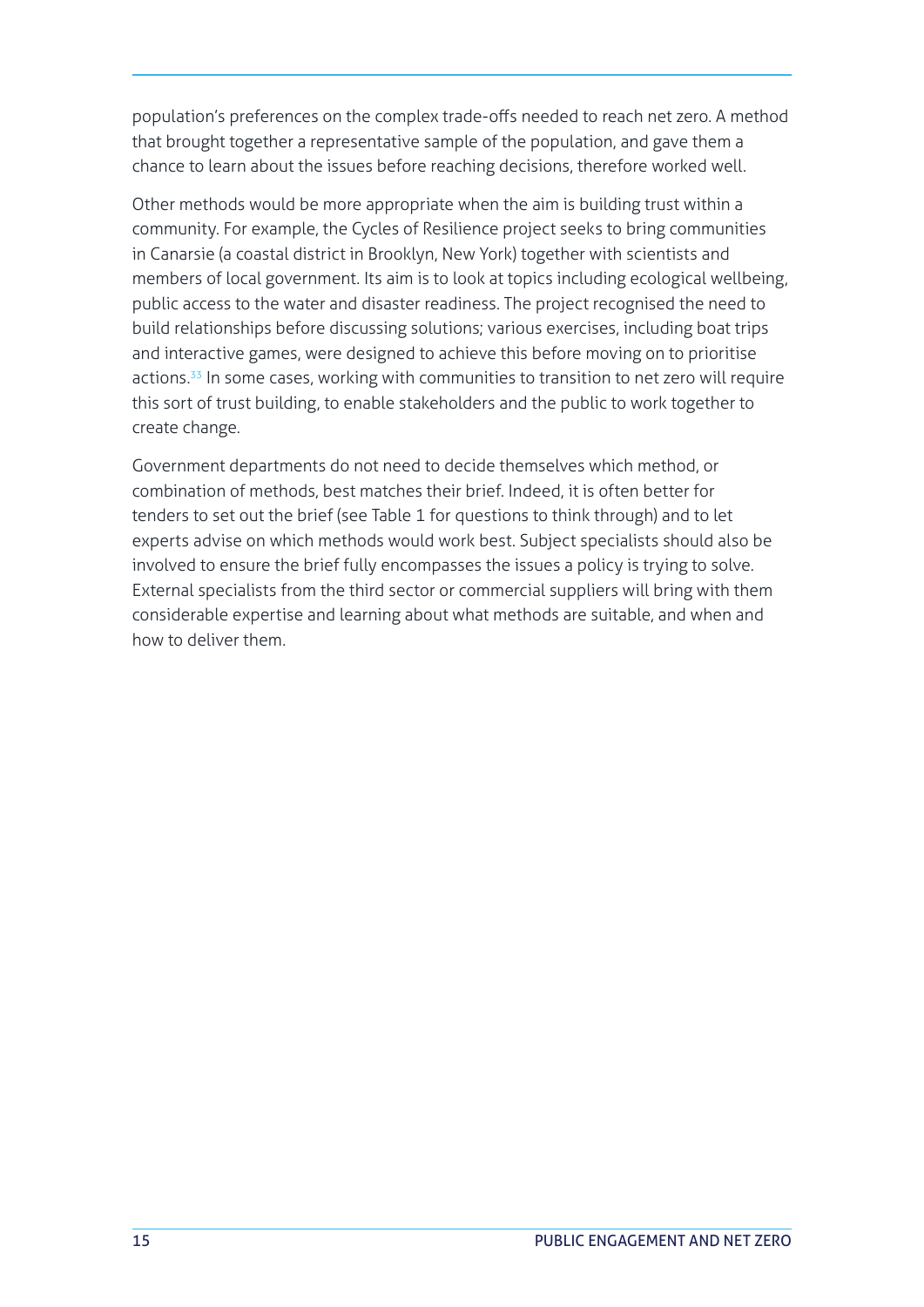<span id="page-14-0"></span>population's preferences on the complex trade-offs needed to reach net zero. A method that brought together a representative sample of the population, and gave them a chance to learn about the issues before reaching decisions, therefore worked well.

Other methods would be more appropriate when the aim is building trust within a community. For example, the Cycles of Resilience project seeks to bring communities in Canarsie (a coastal district in Brooklyn, New York) together with scientists and members of local government. Its aim is to look at topics including ecological wellbeing, public access to the water and disaster readiness. The project recognised the need to build relationships before discussing solutions; various exercises, including boat trips and interactive games, were designed to achieve this before moving on to prioritise actions.<sup>[33](#page-26-0)</sup> In some cases, working with communities to transition to net zero will require this sort of trust building, to enable stakeholders and the public to work together to create change.

Government departments do not need to decide themselves which method, or combination of methods, best matches their brief. Indeed, it is often better for tenders to set out the brief (see Table 1 for questions to think through) and to let experts advise on which methods would work best. Subject specialists should also be involved to ensure the brief fully encompasses the issues a policy is trying to solve. External specialists from the third sector or commercial suppliers will bring with them considerable expertise and learning about what methods are suitable, and when and how to deliver them.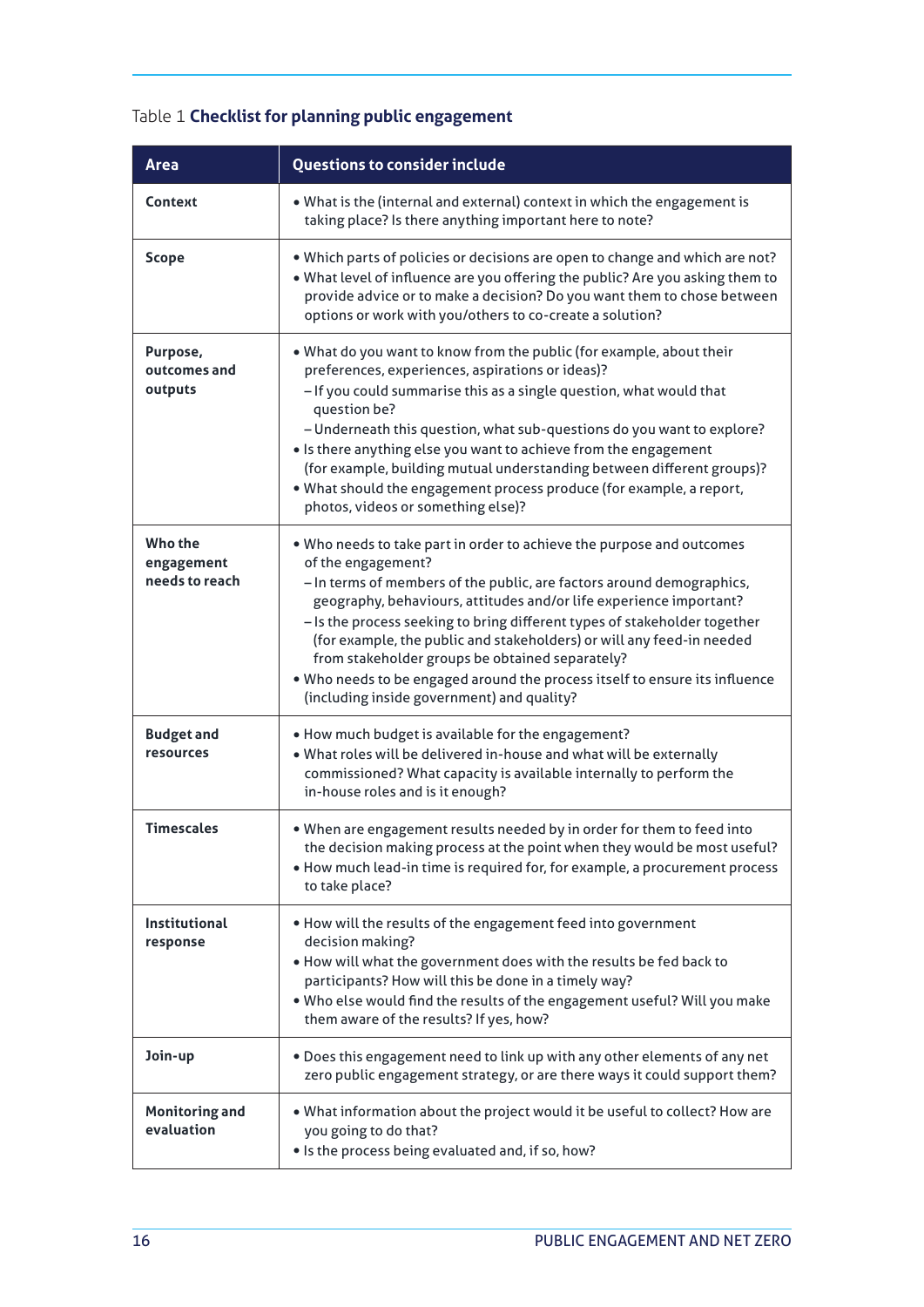## Table 1 **Checklist for planning public engagement**

| <b>Area</b>                             | <b>Questions to consider include</b>                                                                                                                                                                                                                                                                                                                                                                                                                                                                                                                                             |
|-----------------------------------------|----------------------------------------------------------------------------------------------------------------------------------------------------------------------------------------------------------------------------------------------------------------------------------------------------------------------------------------------------------------------------------------------------------------------------------------------------------------------------------------------------------------------------------------------------------------------------------|
| <b>Context</b>                          | . What is the (internal and external) context in which the engagement is<br>taking place? Is there anything important here to note?                                                                                                                                                                                                                                                                                                                                                                                                                                              |
| <b>Scope</b>                            | . Which parts of policies or decisions are open to change and which are not?<br>. What level of influence are you offering the public? Are you asking them to<br>provide advice or to make a decision? Do you want them to chose between<br>options or work with you/others to co-create a solution?                                                                                                                                                                                                                                                                             |
| Purpose,<br>outcomes and<br>outputs     | . What do you want to know from the public (for example, about their<br>preferences, experiences, aspirations or ideas)?<br>- If you could summarise this as a single question, what would that<br>question be?<br>- Underneath this question, what sub-questions do you want to explore?<br>• Is there anything else you want to achieve from the engagement<br>(for example, building mutual understanding between different groups)?<br>. What should the engagement process produce (for example, a report,<br>photos, videos or something else)?                            |
| Who the<br>engagement<br>needs to reach | . Who needs to take part in order to achieve the purpose and outcomes<br>of the engagement?<br>- In terms of members of the public, are factors around demographics,<br>geography, behaviours, attitudes and/or life experience important?<br>- Is the process seeking to bring different types of stakeholder together<br>(for example, the public and stakeholders) or will any feed-in needed<br>from stakeholder groups be obtained separately?<br>. Who needs to be engaged around the process itself to ensure its influence<br>(including inside government) and quality? |
| <b>Budget and</b><br>resources          | . How much budget is available for the engagement?<br>. What roles will be delivered in-house and what will be externally<br>commissioned? What capacity is available internally to perform the<br>in-house roles and is it enough?                                                                                                                                                                                                                                                                                                                                              |
| <b>Timescales</b>                       | . When are engagement results needed by in order for them to feed into<br>the decision making process at the point when they would be most useful?<br>. How much lead-in time is required for, for example, a procurement process<br>to take place?                                                                                                                                                                                                                                                                                                                              |
| <b>Institutional</b><br>response        | . How will the results of the engagement feed into government<br>decision making?<br>. How will what the government does with the results be fed back to<br>participants? How will this be done in a timely way?<br>. Who else would find the results of the engagement useful? Will you make<br>them aware of the results? If yes, how?                                                                                                                                                                                                                                         |
| Join-up                                 | . Does this engagement need to link up with any other elements of any net<br>zero public engagement strategy, or are there ways it could support them?                                                                                                                                                                                                                                                                                                                                                                                                                           |
| <b>Monitoring and</b><br>evaluation     | . What information about the project would it be useful to collect? How are<br>you going to do that?<br>. Is the process being evaluated and, if so, how?                                                                                                                                                                                                                                                                                                                                                                                                                        |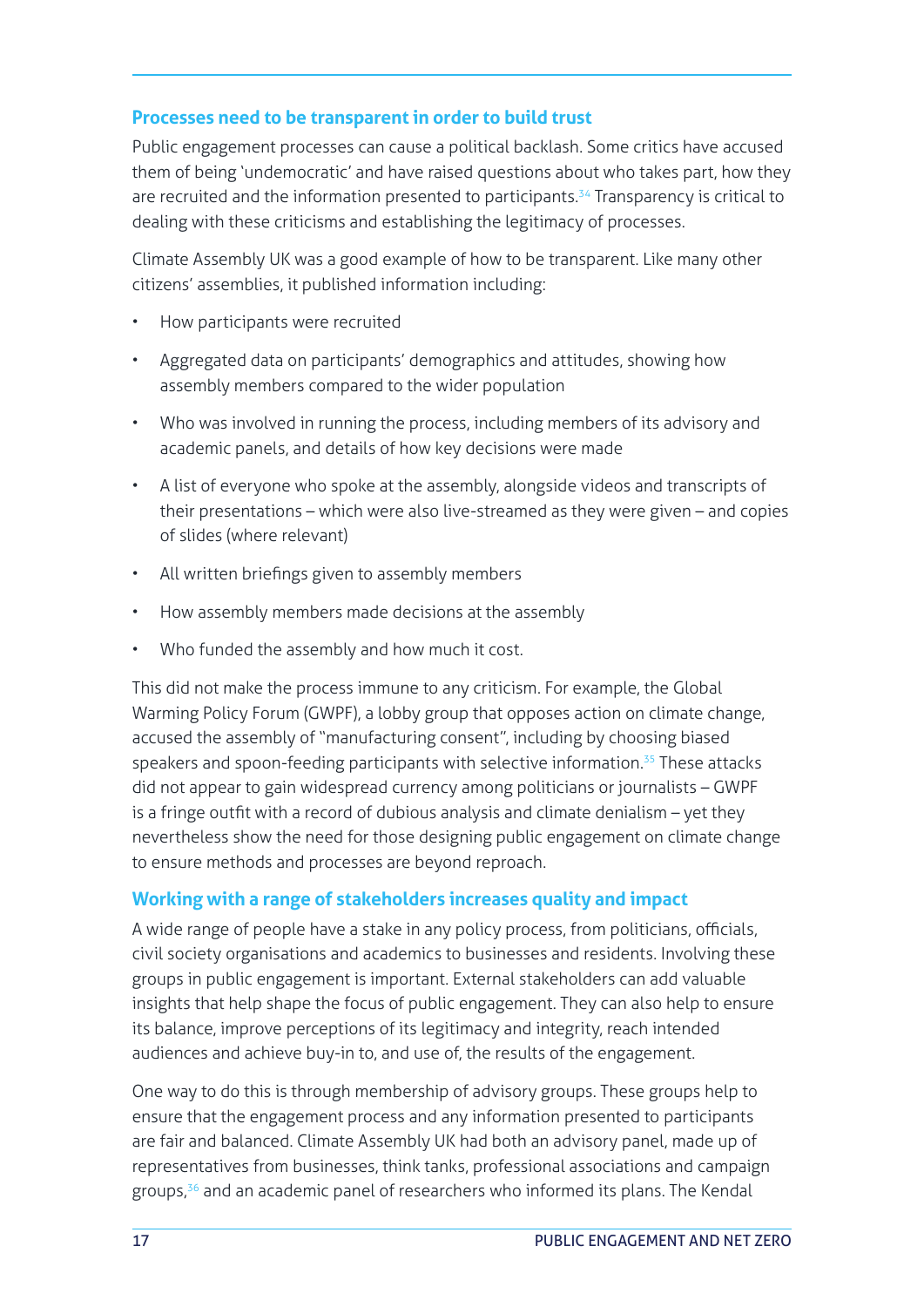#### <span id="page-16-0"></span>**Processes need to be transparent in order to build trust**

Public engagement processes can cause a political backlash. Some critics have accused them of being 'undemocratic' and have raised questions about who takes part, how they are recruited and the information presented to participants.<sup>34</sup> Transparency is critical to dealing with these criticisms and establishing the legitimacy of processes.

Climate Assembly UK was a good example of how to be transparent. Like many other citizens' assemblies, it published information including:

- How participants were recruited
- Aggregated data on participants' demographics and attitudes, showing how assembly members compared to the wider population
- Who was involved in running the process, including members of its advisory and academic panels, and details of how key decisions were made
- A list of everyone who spoke at the assembly, alongside videos and transcripts of their presentations – which were also live-streamed as they were given – and copies of slides (where relevant)
- All written briefings given to assembly members
- How assembly members made decisions at the assembly
- Who funded the assembly and how much it cost.

This did not make the process immune to any criticism. For example, the Global Warming Policy Forum (GWPF), a lobby group that opposes action on climate change, accused the assembly of "manufacturing consent", including by choosing biased speakers and spoon-feeding participants with selective information.<sup>[35](#page-26-0)</sup> These attacks did not appear to gain widespread currency among politicians or journalists – GWPF is a fringe outfit with a record of dubious analysis and climate denialism – yet they nevertheless show the need for those designing public engagement on climate change to ensure methods and processes are beyond reproach.

#### **Working with a range of stakeholders increases quality and impact**

A wide range of people have a stake in any policy process, from politicians, officials, civil society organisations and academics to businesses and residents. Involving these groups in public engagement is important. External stakeholders can add valuable insights that help shape the focus of public engagement. They can also help to ensure its balance, improve perceptions of its legitimacy and integrity, reach intended audiences and achieve buy-in to, and use of, the results of the engagement.

One way to do this is through membership of advisory groups. These groups help to ensure that the engagement process and any information presented to participants are fair and balanced. Climate Assembly UK had both an advisory panel, made up of representatives from businesses, think tanks, professional associations and campaign groups,[36](#page-26-0) and an academic panel of researchers who informed its plans. The Kendal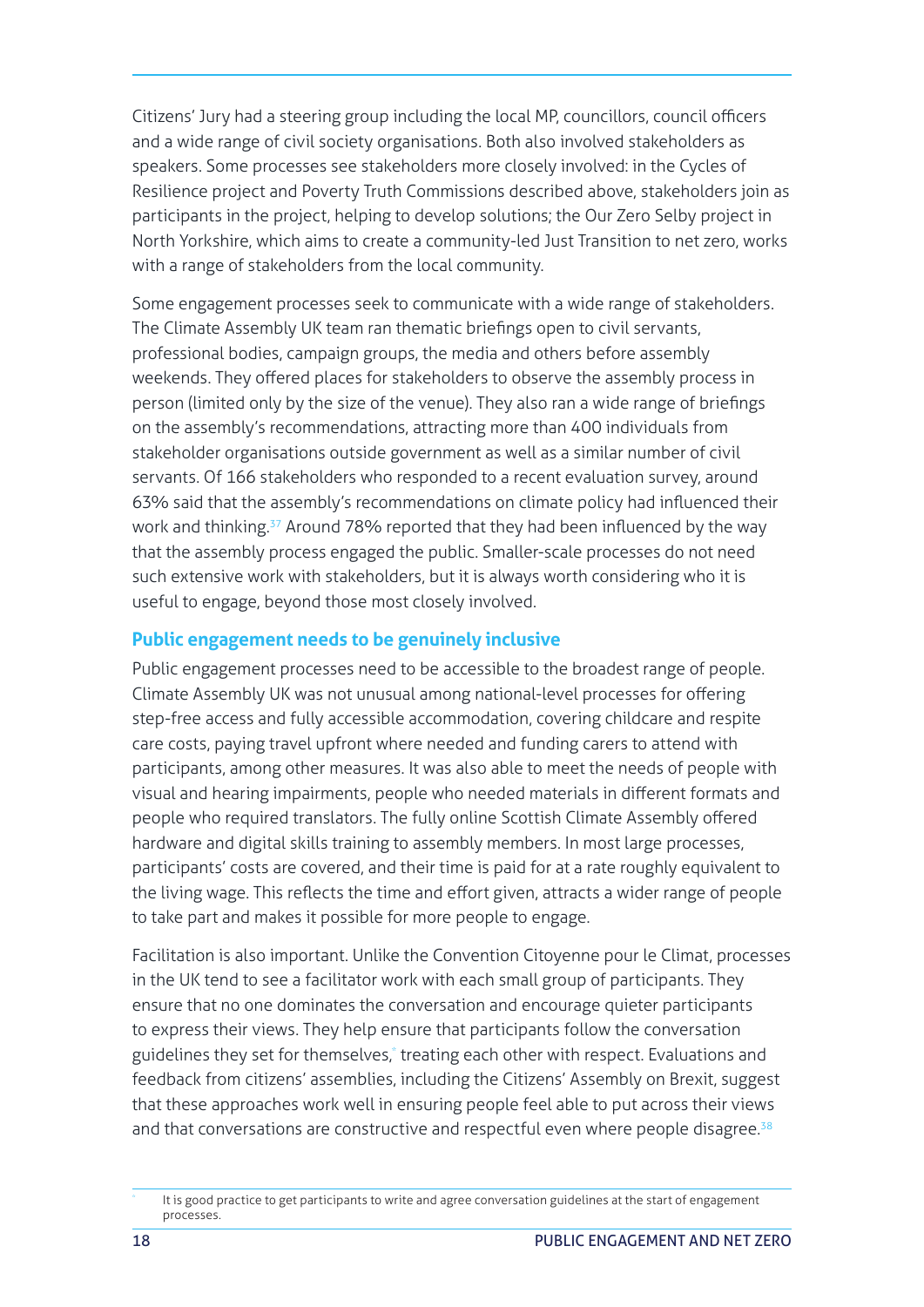<span id="page-17-0"></span>Citizens' Jury had a steering group including the local MP, councillors, council officers and a wide range of civil society organisations. Both also involved stakeholders as speakers. Some processes see stakeholders more closely involved: in the Cycles of Resilience project and Poverty Truth Commissions described above, stakeholders join as participants in the project, helping to develop solutions; the Our Zero Selby project in North Yorkshire, which aims to create a community-led Just Transition to net zero, works with a range of stakeholders from the local community.

Some engagement processes seek to communicate with a wide range of stakeholders. The Climate Assembly UK team ran thematic briefings open to civil servants, professional bodies, campaign groups, the media and others before assembly weekends. They offered places for stakeholders to observe the assembly process in person (limited only by the size of the venue). They also ran a wide range of briefings on the assembly's recommendations, attracting more than 400 individuals from stakeholder organisations outside government as well as a similar number of civil servants. Of 166 stakeholders who responded to a recent evaluation survey, around 63% said that the assembly's recommendations on climate policy had influenced their work and thinking.<sup>[37](#page-26-0)</sup> Around 78% reported that they had been influenced by the way that the assembly process engaged the public. Smaller-scale processes do not need such extensive work with stakeholders, but it is always worth considering who it is useful to engage, beyond those most closely involved.

#### **Public engagement needs to be genuinely inclusive**

Public engagement processes need to be accessible to the broadest range of people. Climate Assembly UK was not unusual among national-level processes for offering step-free access and fully accessible accommodation, covering childcare and respite care costs, paying travel upfront where needed and funding carers to attend with participants, among other measures. It was also able to meet the needs of people with visual and hearing impairments, people who needed materials in different formats and people who required translators. The fully online Scottish Climate Assembly offered hardware and digital skills training to assembly members. In most large processes, participants' costs are covered, and their time is paid for at a rate roughly equivalent to the living wage. This reflects the time and effort given, attracts a wider range of people to take part and makes it possible for more people to engage.

Facilitation is also important. Unlike the Convention Citoyenne pour le Climat, processes in the UK tend to see a facilitator work with each small group of participants. They ensure that no one dominates the conversation and encourage quieter participants to express their views. They help ensure that participants follow the conversation guidelines they set for themselves,\* treating each other with respect. Evaluations and feedback from citizens' assemblies, including the Citizens' Assembly on Brexit, suggest that these approaches work well in ensuring people feel able to put across their views and that conversations are constructive and respectful even where people disagree.<sup>38</sup>

It is good practice to get participants to write and agree conversation guidelines at the start of engagement processes.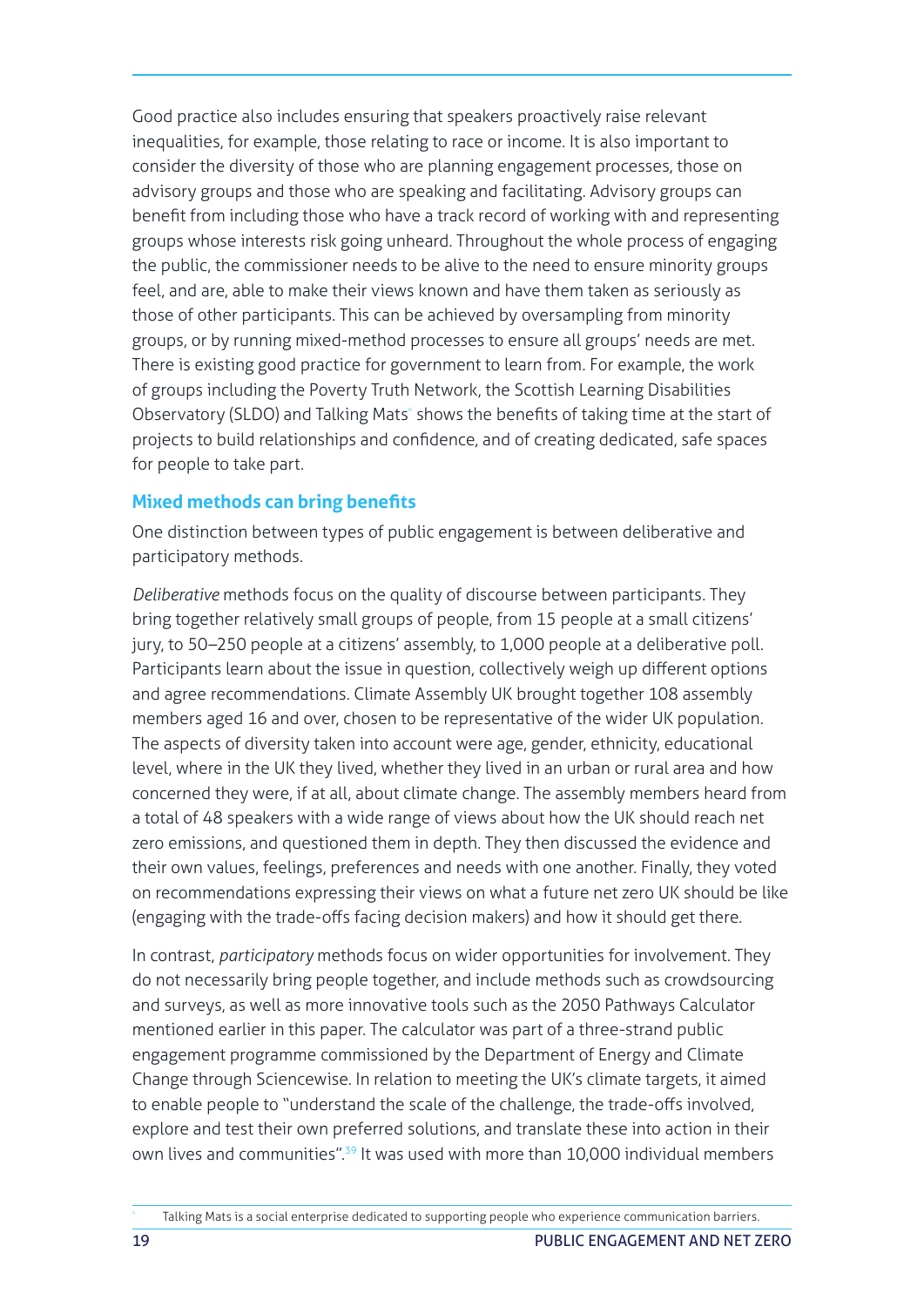<span id="page-18-0"></span>Good practice also includes ensuring that speakers proactively raise relevant inequalities, for example, those relating to race or income. It is also important to consider the diversity of those who are planning engagement processes, those on advisory groups and those who are speaking and facilitating. Advisory groups can benefit from including those who have a track record of working with and representing groups whose interests risk going unheard. Throughout the whole process of engaging the public, the commissioner needs to be alive to the need to ensure minority groups feel, and are, able to make their views known and have them taken as seriously as those of other participants. This can be achieved by oversampling from minority groups, or by running mixed-method processes to ensure all groups' needs are met. There is existing good practice for government to learn from. For example, the work of groups including the Poverty Truth Network, the Scottish Learning Disabilities Observatory (SLDO) and Talking Mats<sup>\*</sup> shows the benefits of taking time at the start of projects to build relationships and confidence, and of creating dedicated, safe spaces for people to take part.

#### **Mixed methods can bring benefits**

One distinction between types of public engagement is between deliberative and participatory methods.

*Deliberative* methods focus on the quality of discourse between participants. They bring together relatively small groups of people, from 15 people at a small citizens' jury, to 50–250 people at a citizens' assembly, to 1,000 people at a deliberative poll. Participants learn about the issue in question, collectively weigh up different options and agree recommendations. Climate Assembly UK brought together 108 assembly members aged 16 and over, chosen to be representative of the wider UK population. The aspects of diversity taken into account were age, gender, ethnicity, educational level, where in the UK they lived, whether they lived in an urban or rural area and how concerned they were, if at all, about climate change. The assembly members heard from a total of 48 speakers with a wide range of views about how the UK should reach net zero emissions, and questioned them in depth. They then discussed the evidence and their own values, feelings, preferences and needs with one another. Finally, they voted on recommendations expressing their views on what a future net zero UK should be like (engaging with the trade-offs facing decision makers) and how it should get there.

In contrast, *participatory* methods focus on wider opportunities for involvement. They do not necessarily bring people together, and include methods such as crowdsourcing and surveys, as well as more innovative tools such as the 2050 Pathways Calculator mentioned earlier in this paper. The calculator was part of a three-strand public engagement programme commissioned by the Department of Energy and Climate Change through Sciencewise. In relation to meeting the UK's climate targets, it aimed to enable people to "understand the scale of the challenge, the trade-offs involved, explore and test their own preferred solutions, and translate these into action in their own lives and communities".<sup>39</sup> It was used with more than 10,000 individual members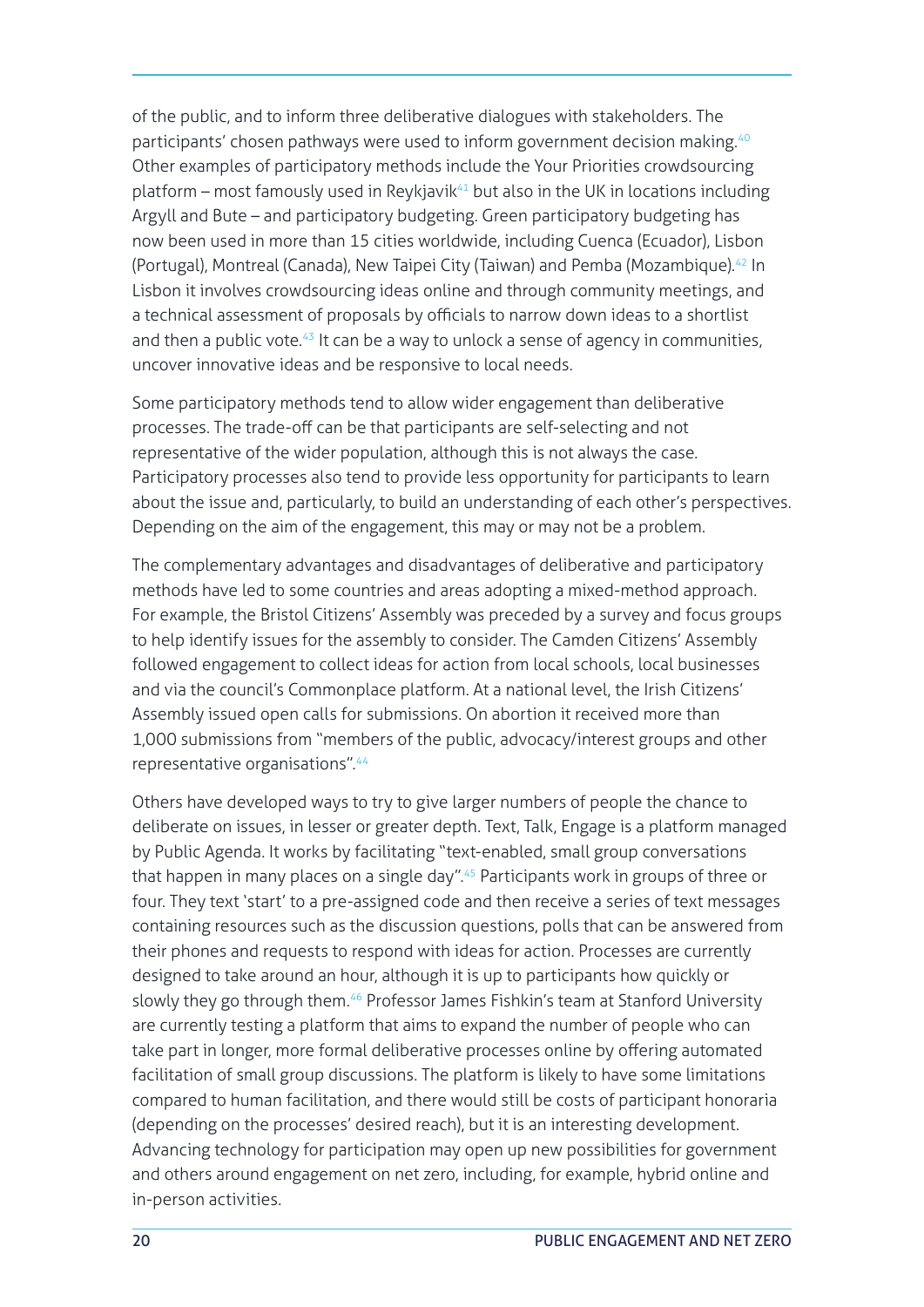<span id="page-19-0"></span>of the public, and to inform three deliberative dialogues with stakeholders. The participants' chosen pathways were used to inform government decision making.<sup>[40](#page-26-0)</sup> Other examples of participatory methods include the Your Priorities crowdsourcing platform – most famously used in Reykjavik $41$  but also in the UK in locations including Argyll and Bute – and participatory budgeting. Green participatory budgeting has now been used in more than 15 cities worldwide, including Cuenca (Ecuador), Lisbon (Portugal), Montreal (Canada), New Taipei City (Taiwan) and Pemba (Mozambique).<sup>[42](#page-26-0)</sup> In Lisbon it involves crowdsourcing ideas online and through community meetings, and a technical assessment of proposals by officials to narrow down ideas to a shortlist and then a public vote. $43$  It can be a way to unlock a sense of agency in communities, uncover innovative ideas and be responsive to local needs.

Some participatory methods tend to allow wider engagement than deliberative processes. The trade-off can be that participants are self-selecting and not representative of the wider population, although this is not always the case. Participatory processes also tend to provide less opportunity for participants to learn about the issue and, particularly, to build an understanding of each other's perspectives. Depending on the aim of the engagement, this may or may not be a problem.

The complementary advantages and disadvantages of deliberative and participatory methods have led to some countries and areas adopting a mixed-method approach. For example, the Bristol Citizens' Assembly was preceded by a survey and focus groups to help identify issues for the assembly to consider. The Camden Citizens' Assembly followed engagement to collect ideas for action from local schools, local businesses and via the council's Commonplace platform. At a national level, the Irish Citizens' Assembly issued open calls for submissions. On abortion it received more than 1,000 submissions from "members of the public, advocacy/interest groups and other representative organisations"[.44](#page-27-0)

Others have developed ways to try to give larger numbers of people the chance to deliberate on issues, in lesser or greater depth. Text, Talk, Engage is a platform managed by Public Agenda. It works by facilitating "text-enabled, small group conversations that happen in many places on a single day".<sup>[45](#page-27-0)</sup> Participants work in groups of three or four. They text 'start' to a pre-assigned code and then receive a series of text messages containing resources such as the discussion questions, polls that can be answered from their phones and requests to respond with ideas for action. Processes are currently designed to take around an hour, although it is up to participants how quickly or slowly they go through them.<sup>[46](#page-27-0)</sup> Professor James Fishkin's team at Stanford University are currently testing a platform that aims to expand the number of people who can take part in longer, more formal deliberative processes online by offering automated facilitation of small group discussions. The platform is likely to have some limitations compared to human facilitation, and there would still be costs of participant honoraria (depending on the processes' desired reach), but it is an interesting development. Advancing technology for participation may open up new possibilities for government and others around engagement on net zero, including, for example, hybrid online and in-person activities.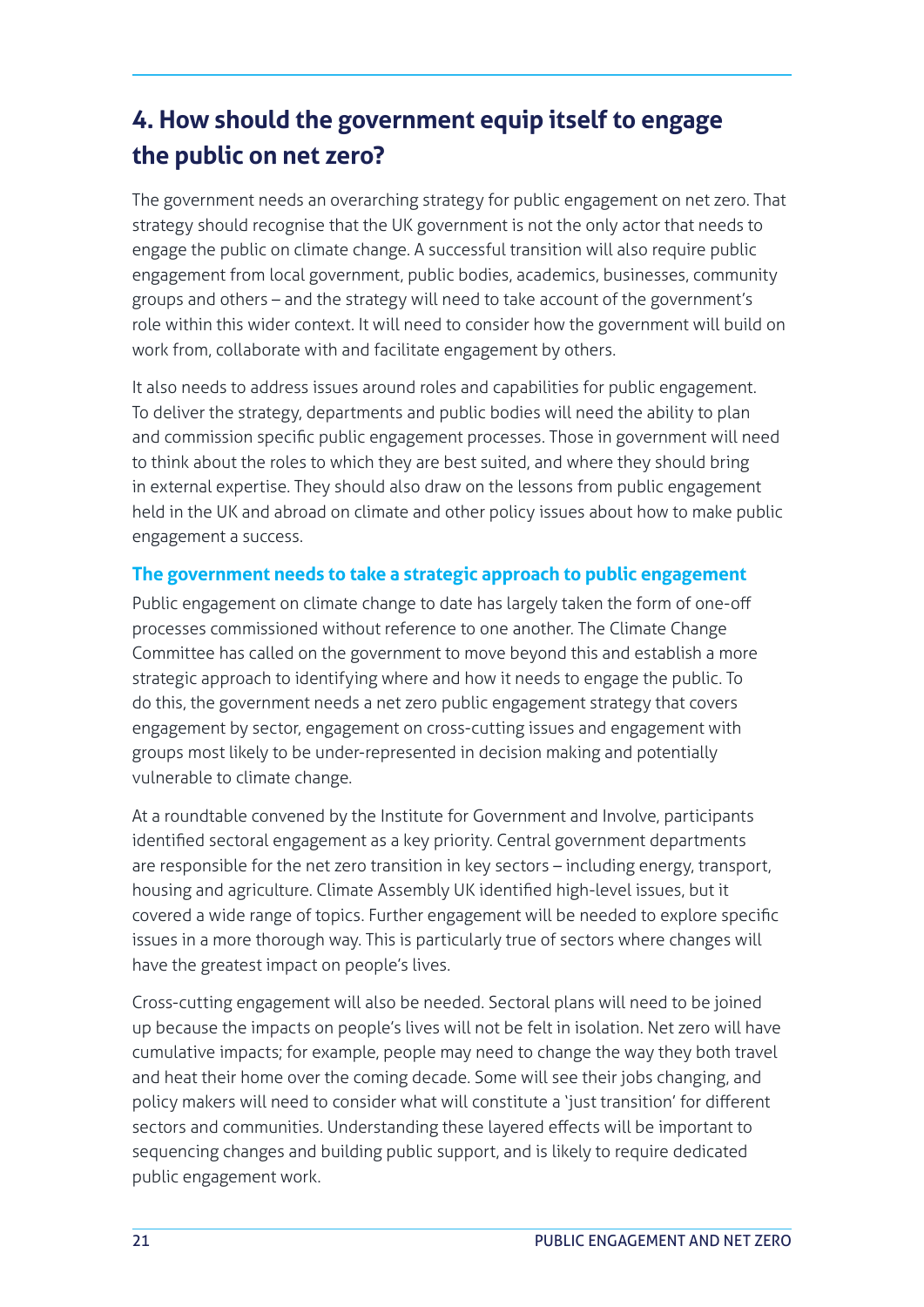## **4. How should the government equip itself to engage the public on net zero?**

The government needs an overarching strategy for public engagement on net zero. That strategy should recognise that the UK government is not the only actor that needs to engage the public on climate change. A successful transition will also require public engagement from local government, public bodies, academics, businesses, community groups and others – and the strategy will need to take account of the government's role within this wider context. It will need to consider how the government will build on work from, collaborate with and facilitate engagement by others.

It also needs to address issues around roles and capabilities for public engagement. To deliver the strategy, departments and public bodies will need the ability to plan and commission specific public engagement processes. Those in government will need to think about the roles to which they are best suited, and where they should bring in external expertise. They should also draw on the lessons from public engagement held in the UK and abroad on climate and other policy issues about how to make public engagement a success.

#### **The government needs to take a strategic approach to public engagement**

Public engagement on climate change to date has largely taken the form of one-off processes commissioned without reference to one another. The Climate Change Committee has called on the government to move beyond this and establish a more strategic approach to identifying where and how it needs to engage the public. To do this, the government needs a net zero public engagement strategy that covers engagement by sector, engagement on cross-cutting issues and engagement with groups most likely to be under-represented in decision making and potentially vulnerable to climate change.

At a roundtable convened by the Institute for Government and Involve, participants identified sectoral engagement as a key priority. Central government departments are responsible for the net zero transition in key sectors – including energy, transport, housing and agriculture. Climate Assembly UK identified high-level issues, but it covered a wide range of topics. Further engagement will be needed to explore specific issues in a more thorough way. This is particularly true of sectors where changes will have the greatest impact on people's lives.

Cross-cutting engagement will also be needed. Sectoral plans will need to be joined up because the impacts on people's lives will not be felt in isolation. Net zero will have cumulative impacts; for example, people may need to change the way they both travel and heat their home over the coming decade. Some will see their jobs changing, and policy makers will need to consider what will constitute a 'just transition' for different sectors and communities. Understanding these layered effects will be important to sequencing changes and building public support, and is likely to require dedicated public engagement work.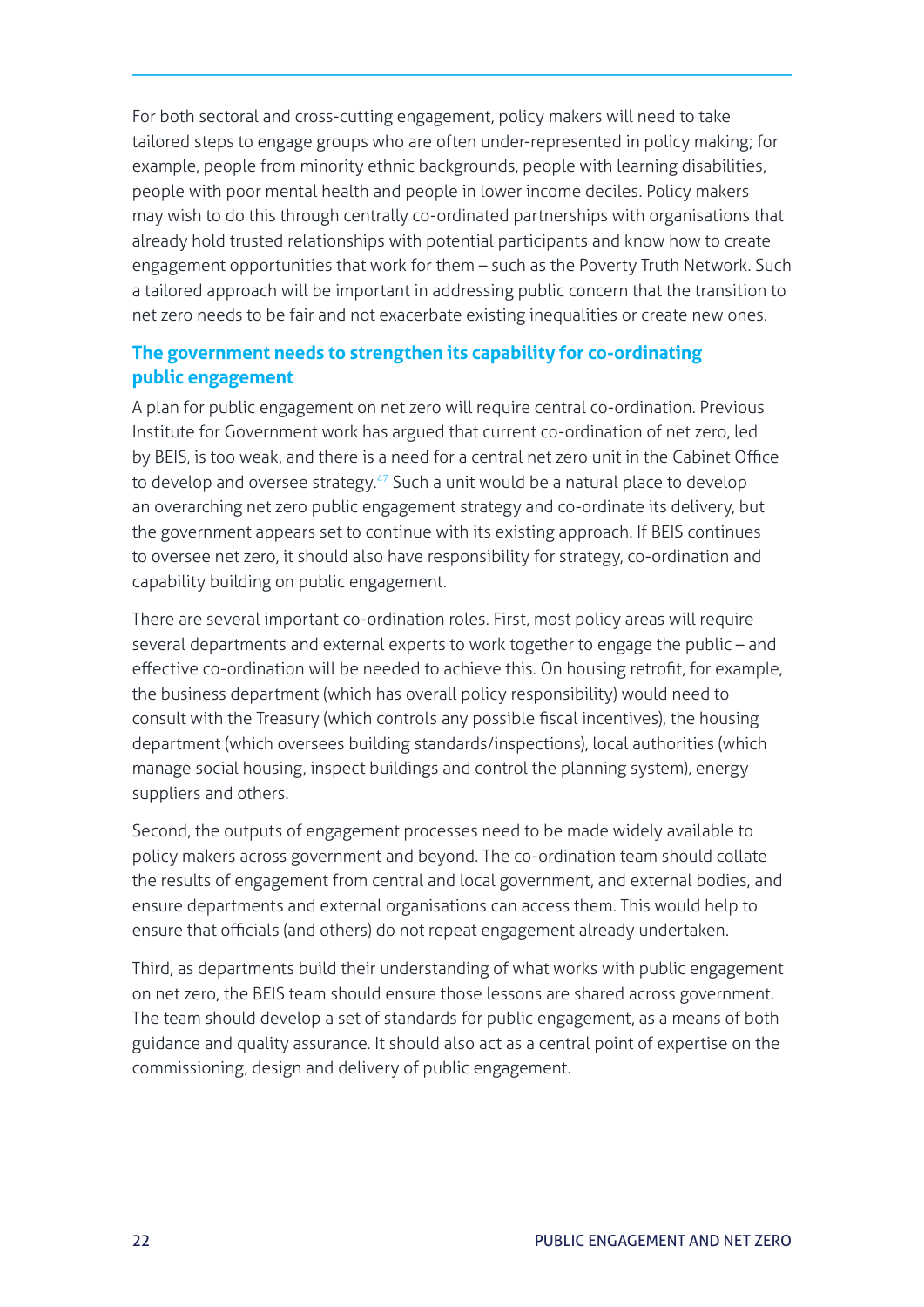<span id="page-21-0"></span>For both sectoral and cross-cutting engagement, policy makers will need to take tailored steps to engage groups who are often under-represented in policy making; for example, people from minority ethnic backgrounds, people with learning disabilities, people with poor mental health and people in lower income deciles. Policy makers may wish to do this through centrally co-ordinated partnerships with organisations that already hold trusted relationships with potential participants and know how to create engagement opportunities that work for them – such as the Poverty Truth Network. Such a tailored approach will be important in addressing public concern that the transition to net zero needs to be fair and not exacerbate existing inequalities or create new ones.

#### **The government needs to strengthen its capability for co-ordinating public engagement**

A plan for public engagement on net zero will require central co-ordination. Previous Institute for Government work has argued that current co-ordination of net zero, led by BEIS, is too weak, and there is a need for a central net zero unit in the Cabinet Office to develop and oversee strategy. $47$  Such a unit would be a natural place to develop an overarching net zero public engagement strategy and co-ordinate its delivery, but the government appears set to continue with its existing approach. If BEIS continues to oversee net zero, it should also have responsibility for strategy, co-ordination and capability building on public engagement.

There are several important co-ordination roles. First, most policy areas will require several departments and external experts to work together to engage the public – and effective co-ordination will be needed to achieve this. On housing retrofit, for example, the business department (which has overall policy responsibility) would need to consult with the Treasury (which controls any possible fiscal incentives), the housing department (which oversees building standards/inspections), local authorities (which manage social housing, inspect buildings and control the planning system), energy suppliers and others.

Second, the outputs of engagement processes need to be made widely available to policy makers across government and beyond. The co-ordination team should collate the results of engagement from central and local government, and external bodies, and ensure departments and external organisations can access them. This would help to ensure that officials (and others) do not repeat engagement already undertaken.

Third, as departments build their understanding of what works with public engagement on net zero, the BEIS team should ensure those lessons are shared across government. The team should develop a set of standards for public engagement, as a means of both guidance and quality assurance. It should also act as a central point of expertise on the commissioning, design and delivery of public engagement.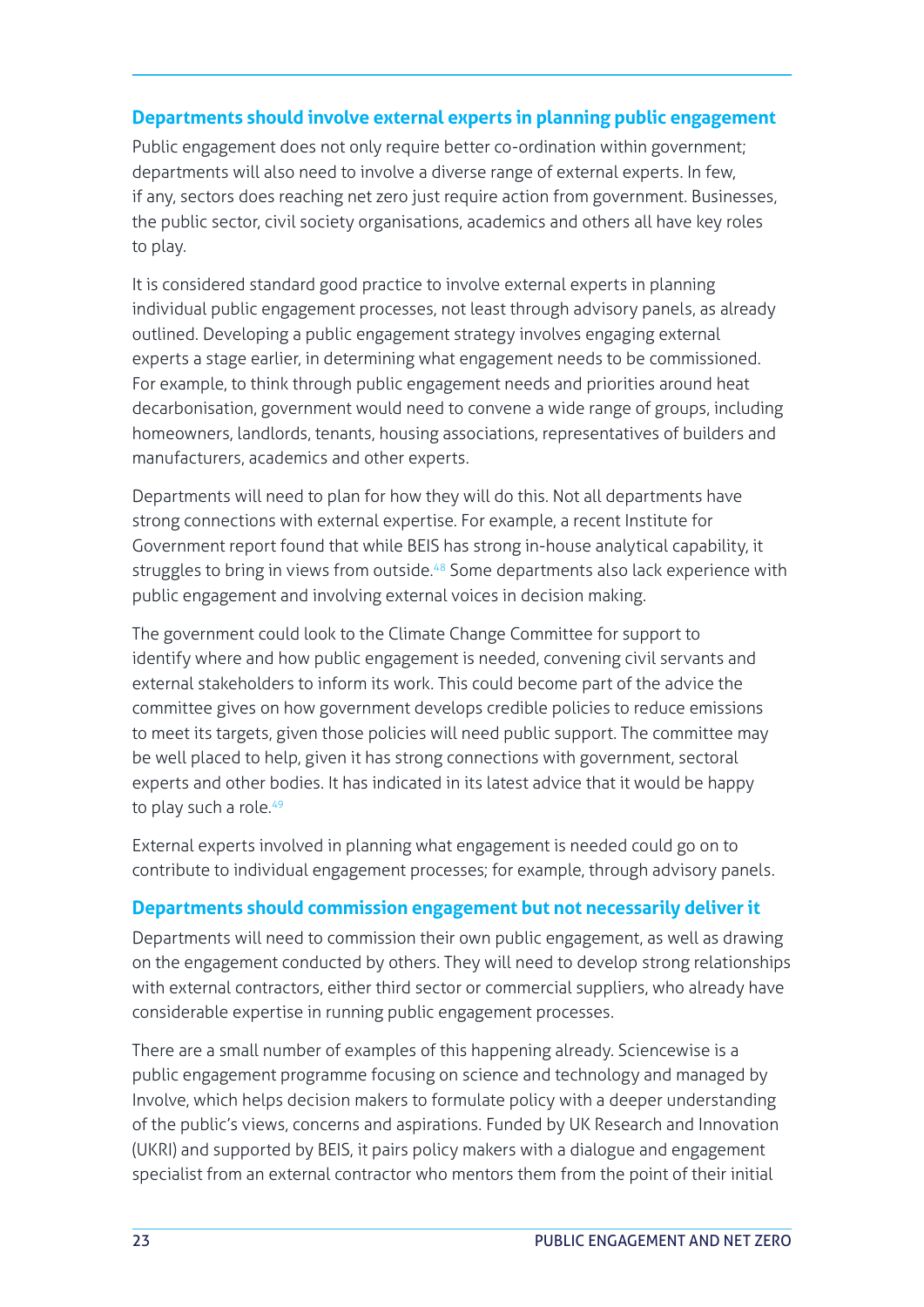#### <span id="page-22-0"></span>**Departments should involve external experts in planning public engagement**

Public engagement does not only require better co-ordination within government; departments will also need to involve a diverse range of external experts. In few, if any, sectors does reaching net zero just require action from government. Businesses, the public sector, civil society organisations, academics and others all have key roles to play.

It is considered standard good practice to involve external experts in planning individual public engagement processes, not least through advisory panels, as already outlined. Developing a public engagement strategy involves engaging external experts a stage earlier, in determining what engagement needs to be commissioned. For example, to think through public engagement needs and priorities around heat decarbonisation, government would need to convene a wide range of groups, including homeowners, landlords, tenants, housing associations, representatives of builders and manufacturers, academics and other experts.

Departments will need to plan for how they will do this. Not all departments have strong connections with external expertise. For example, a recent Institute for Government report found that while BEIS has strong in-house analytical capability, it struggles to bring in views from outside.<sup>48</sup> Some departments also lack experience with public engagement and involving external voices in decision making.

The government could look to the Climate Change Committee for support to identify where and how public engagement is needed, convening civil servants and external stakeholders to inform its work. This could become part of the advice the committee gives on how government develops credible policies to reduce emissions to meet its targets, given those policies will need public support. The committee may be well placed to help, given it has strong connections with government, sectoral experts and other bodies. It has indicated in its latest advice that it would be happy to play such a role.<sup>[49](#page-27-0)</sup>

External experts involved in planning what engagement is needed could go on to contribute to individual engagement processes; for example, through advisory panels.

#### **Departments should commission engagement but not necessarily deliver it**

Departments will need to commission their own public engagement, as well as drawing on the engagement conducted by others. They will need to develop strong relationships with external contractors, either third sector or commercial suppliers, who already have considerable expertise in running public engagement processes.

There are a small number of examples of this happening already. Sciencewise is a public engagement programme focusing on science and technology and managed by Involve, which helps decision makers to formulate policy with a deeper understanding of the public's views, concerns and aspirations. Funded by UK Research and Innovation (UKRI) and supported by BEIS, it pairs policy makers with a dialogue and engagement specialist from an external contractor who mentors them from the point of their initial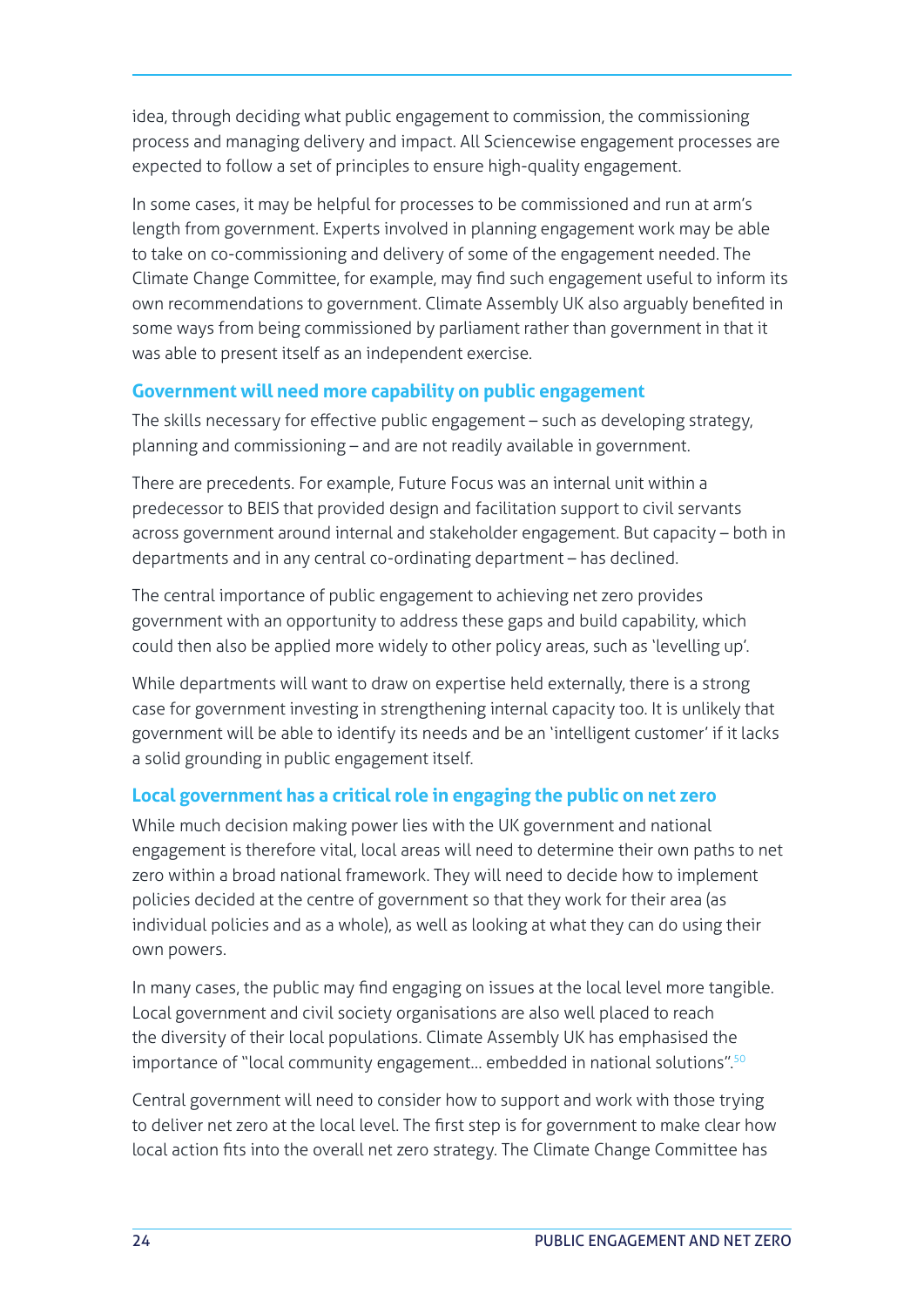idea, through deciding what public engagement to commission, the commissioning process and managing delivery and impact. All Sciencewise engagement processes are expected to follow a set of principles to ensure high-quality engagement.

In some cases, it may be helpful for processes to be commissioned and run at arm's length from government. Experts involved in planning engagement work may be able to take on co-commissioning and delivery of some of the engagement needed. The Climate Change Committee, for example, may find such engagement useful to inform its own recommendations to government. Climate Assembly UK also arguably benefited in some ways from being commissioned by parliament rather than government in that it was able to present itself as an independent exercise.

#### **Government will need more capability on public engagement**

The skills necessary for effective public engagement – such as developing strategy, planning and commissioning – and are not readily available in government.

There are precedents. For example, Future Focus was an internal unit within a predecessor to BEIS that provided design and facilitation support to civil servants across government around internal and stakeholder engagement. But capacity – both in departments and in any central co-ordinating department – has declined.

The central importance of public engagement to achieving net zero provides government with an opportunity to address these gaps and build capability, which could then also be applied more widely to other policy areas, such as 'levelling up'.

While departments will want to draw on expertise held externally, there is a strong case for government investing in strengthening internal capacity too. It is unlikely that government will be able to identify its needs and be an 'intelligent customer' if it lacks a solid grounding in public engagement itself.

#### **Local government has a critical role in engaging the public on net zero**

While much decision making power lies with the UK government and national engagement is therefore vital, local areas will need to determine their own paths to net zero within a broad national framework. They will need to decide how to implement policies decided at the centre of government so that they work for their area (as individual policies and as a whole), as well as looking at what they can do using their own powers.

In many cases, the public may find engaging on issues at the local level more tangible. Local government and civil society organisations are also well placed to reach the diversity of their local populations. Climate Assembly UK has emphasised the importance of "local community engagement... embedded in national solutions".<sup>[50](#page-27-0)</sup>

Central government will need to consider how to support and work with those trying to deliver net zero at the local level. The first step is for government to make clear how local action fits into the overall net zero strategy. The Climate Change Committee has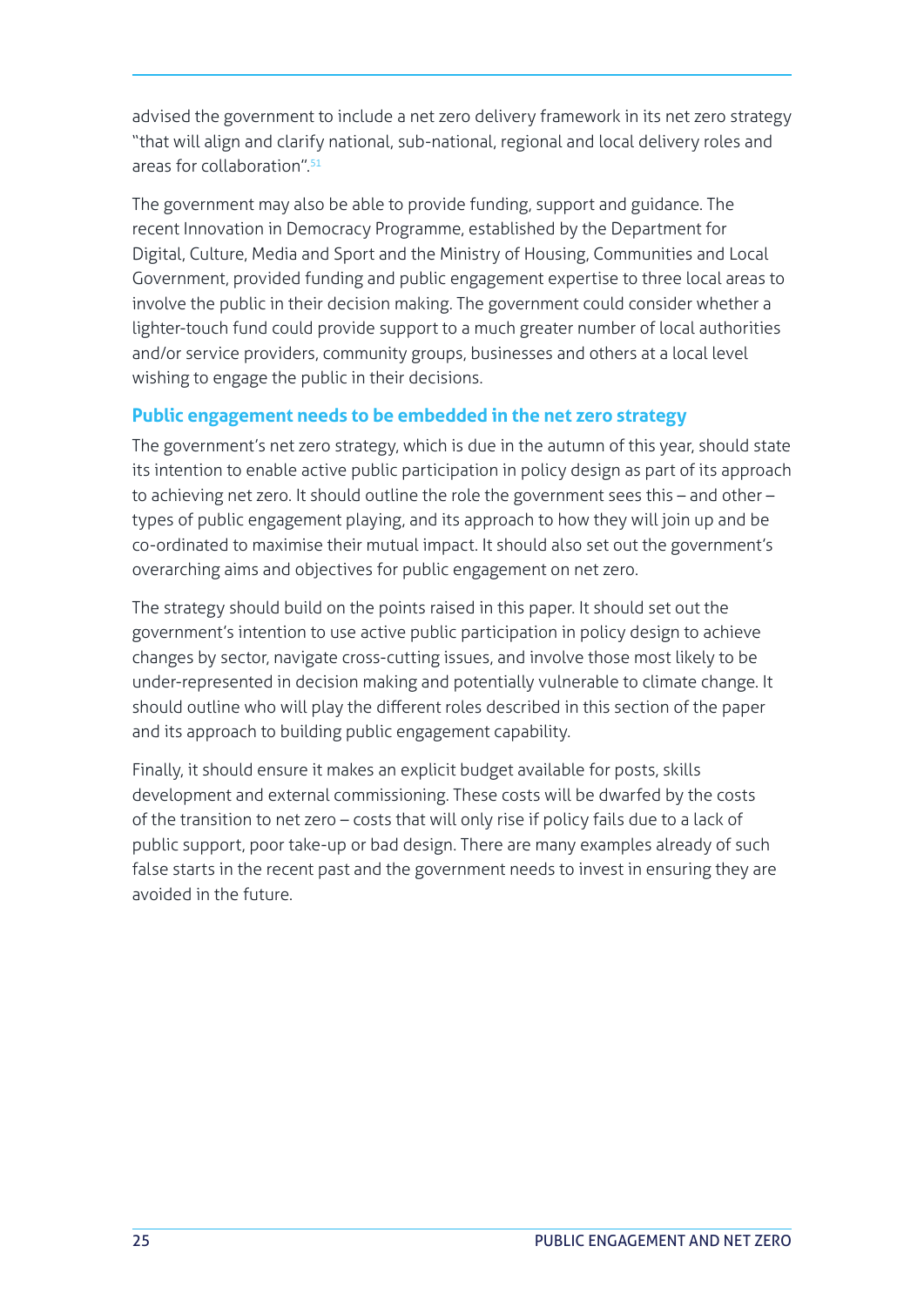advised the government to include a net zero delivery framework in its net zero strategy "that will align and clarify national, sub-national, regional and local delivery roles and areas for collaboration" $51$ 

The government may also be able to provide funding, support and guidance. The recent Innovation in Democracy Programme, established by the Department for Digital, Culture, Media and Sport and the Ministry of Housing, Communities and Local Government, provided funding and public engagement expertise to three local areas to involve the public in their decision making. The government could consider whether a lighter-touch fund could provide support to a much greater number of local authorities and/or service providers, community groups, businesses and others at a local level wishing to engage the public in their decisions.

#### **Public engagement needs to be embedded in the net zero strategy**

The government's net zero strategy, which is due in the autumn of this year, should state its intention to enable active public participation in policy design as part of its approach to achieving net zero. It should outline the role the government sees this – and other – types of public engagement playing, and its approach to how they will join up and be co-ordinated to maximise their mutual impact. It should also set out the government's overarching aims and objectives for public engagement on net zero.

The strategy should build on the points raised in this paper. It should set out the government's intention to use active public participation in policy design to achieve changes by sector, navigate cross-cutting issues, and involve those most likely to be under-represented in decision making and potentially vulnerable to climate change. It should outline who will play the different roles described in this section of the paper and its approach to building public engagement capability.

Finally, it should ensure it makes an explicit budget available for posts, skills development and external commissioning. These costs will be dwarfed by the costs of the transition to net zero – costs that will only rise if policy fails due to a lack of public support, poor take-up or bad design. There are many examples already of such false starts in the recent past and the government needs to invest in ensuring they are avoided in the future.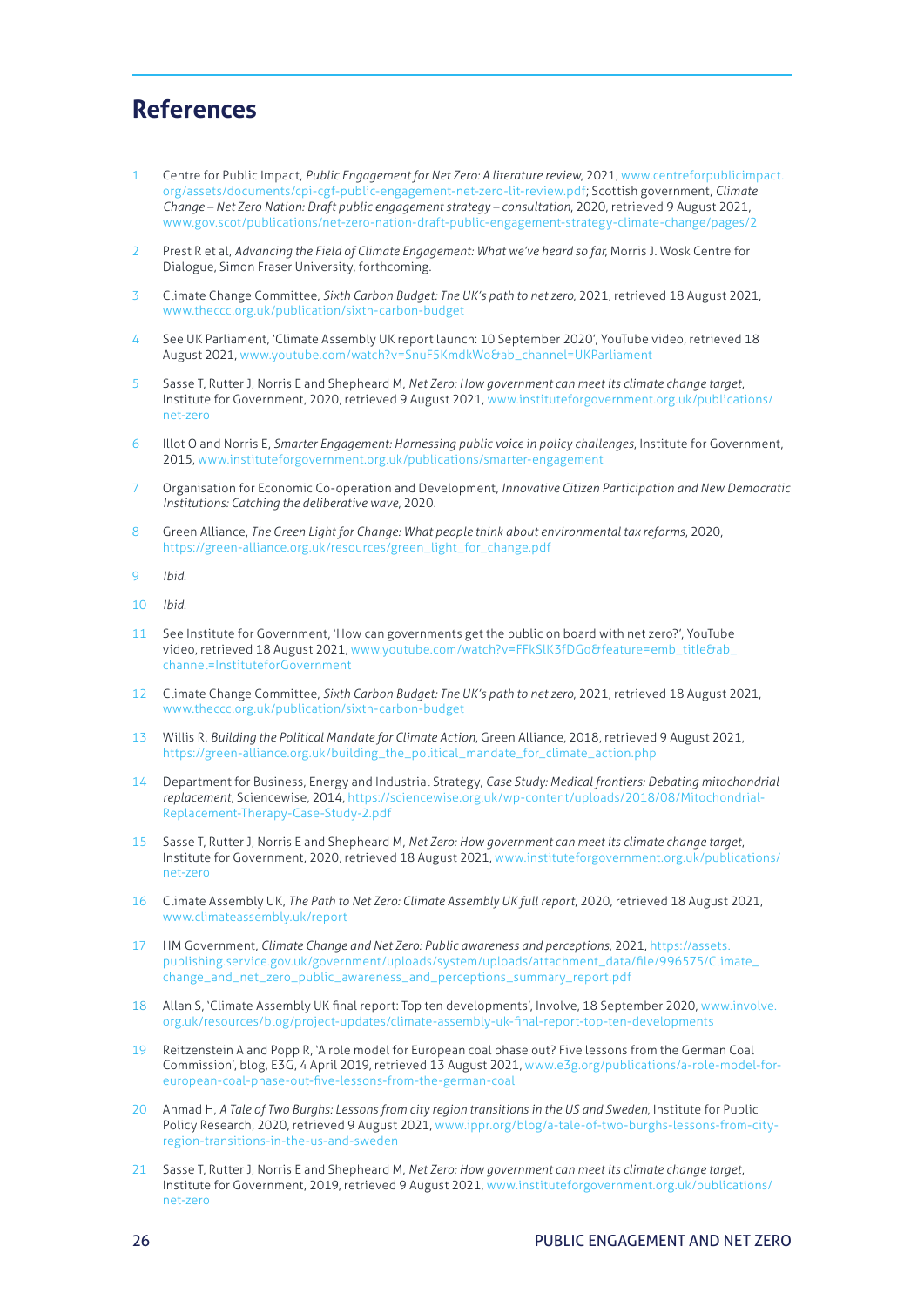## <span id="page-25-0"></span>**References**

- 1 Centre for Public Impact, *Public Engagement for Net Zero: A literature review*, 2021, [www.centreforpublicimpact.](https://www.centreforpublicimpact.org/assets/documents/cpi-cgf-public-engagement-net-zero-lit-review.pdf) [org/assets/documents/cpi-cgf-public-engagement-net-zero-lit-review.pdf](https://www.centreforpublicimpact.org/assets/documents/cpi-cgf-public-engagement-net-zero-lit-review.pdf); Scottish government, *Climate Change – Net Zero Nation: Draft public engagement strategy – consultation*, 2020, retrieved 9 August 2021, [www.gov.scot/publications/net-zero-nation-draft-public-engagement-strategy-climate-change/pages/2](https://www.gov.scot/publications/net-zero-nation-draft-public-engagement-strategy-climate-change/pages/2/)
- 2 Prest R et al, *Advancing the Field of Climate Engagement: What we've heard so far*, Morris J. Wosk Centre for Dialogue, Simon Fraser University, forthcoming.
- [3](#page-1-0) Climate Change Committee, *Sixth Carbon Budget: The UK's path to net zero*, 2021, retrieved 18 August 2021, [www.theccc.org.uk/publication/sixth-carbon-budget](http://www.theccc.org.uk/publication/sixth-carbon-budget)
- [4](#page-1-0) See UK Parliament, 'Climate Assembly UK report launch: 10 September 2020', YouTube video, retrieved 18 August 2021, [www.youtube.com/watch?v=SnuF5KmdkWo&ab\\_channel=UKParliament](http://www.youtube.com/watch?v=SnuF5KmdkWo&ab_channel=UKParliament)
- [5](#page-1-0) Sasse T, Rutter J, Norris E and Shepheard M, *Net Zero: How government can meet its climate change target*, Institute for Government, 2020, retrieved 9 August 2021, [www.instituteforgovernment.org.uk/publications/](http://www.instituteforgovernment.org.uk/publications/net-zero) [net-zero](http://www.instituteforgovernment.org.uk/publications/net-zero)
- 6 Illot O and Norris E, *Smarter Engagement: Harnessing public voice in policy challenges*, Institute for Government, 2015, [www.instituteforgovernment.org.uk/publications/smarter-engagement](http://www.instituteforgovernment.org.uk/publications/smarter-engagement)
- 7 Organisation for Economic Co-operation and Development, *Innovative Citizen Participation and New Democratic Institutions: Catching the deliberative wave*, 2020.
- [8](#page-5-0) Green Alliance, *The Green Light for Change: What people think about environmental tax reforms*, 2020, [https://green-alliance.org.uk/resources/green\\_light\\_for\\_change.pdf](https://green-alliance.org.uk/resources/green_light_for_change.pdf)
- 9 *Ibid*.
- 10 *Ibid*.
- 11 See Institute for Government, 'How can governments get the public on board with net zero?', YouTube video, retrieved 18 August 2021, [www.youtube.com/watch?v=FFkSlK3fDGo&feature=emb\\_title&ab\\_](http://www.youtube.com/watch?v=FFkSlK3fDGo&feature=emb_title&ab_channel=InstituteforGovernment) [channel=InstituteforGovernment](http://www.youtube.com/watch?v=FFkSlK3fDGo&feature=emb_title&ab_channel=InstituteforGovernment)
- 12 Climate Change Committee, *Sixth Carbon Budget: The UK's path to net zero*, 2021, retrieved 18 August 2021, [www.theccc.org.uk/publication/sixth-carbon-budget](http://www.theccc.org.uk/publication/sixth-carbon-budget)
- 13 Willis R, *Building the Political Mandate for Climate Action*, Green Alliance, 2018, retrieved 9 August 2021, [https://green-alliance.org.uk/building\\_the\\_political\\_mandate\\_for\\_climate\\_action.php](https://green-alliance.org.uk/building_the_political_mandate_for_climate_action.php)
- 14 Department for Business, Energy and Industrial Strategy, *Case Study: Medical frontiers: Debating mitochondrial replacement*, Sciencewise, 2014, [https://sciencewise.org.uk/wp-content/uploads/2018/08/Mitochondrial-](https://sciencewise.org.uk/wp-content/uploads/2018/08/Mitochondrial-Replacement-Therapy-Case-Study-2.pdf)[Replacement-Therapy-Case-Study-2.pdf](https://sciencewise.org.uk/wp-content/uploads/2018/08/Mitochondrial-Replacement-Therapy-Case-Study-2.pdf)
- 15 Sasse T, Rutter J, Norris E and Shepheard M, *Net Zero: How government can meet its climate change target*, Institute for Government, 2020, retrieved 18 August 2021, [www.instituteforgovernment.org.uk/publications/](http://www.instituteforgovernment.org.uk/publications/net-zero) [net-zero](http://www.instituteforgovernment.org.uk/publications/net-zero)
- 16 Climate Assembly UK, *The Path to Net Zero: Climate Assembly UK full report*, 2020, retrieved 18 August 2021, [www.climateassembly.uk/report](http://www.climateassembly.uk/report)
- 17 HM Government, *Climate Change and Net Zero: Public awareness and perceptions*, 2021, [https://assets.](https://assets.publishing.service.gov.uk/government/uploads/system/uploads/attachment_data/file/996575/Climate_change_and_net_zero_public_awareness_and_perceptions_summary_report.pdf) [publishing.service.gov.uk/government/uploads/system/uploads/attachment\\_data/file/996575/Climate\\_](https://assets.publishing.service.gov.uk/government/uploads/system/uploads/attachment_data/file/996575/Climate_change_and_net_zero_public_awareness_and_perceptions_summary_report.pdf) [change\\_and\\_net\\_zero\\_public\\_awareness\\_and\\_perceptions\\_summary\\_report.pdf](https://assets.publishing.service.gov.uk/government/uploads/system/uploads/attachment_data/file/996575/Climate_change_and_net_zero_public_awareness_and_perceptions_summary_report.pdf)
- [18](#page-7-0) Allan S, 'Climate Assembly UK final report: Top ten developments', Involve, 18 September 2020, [www.involve.](http://www.involve.org.uk/resources/blog/project-updates/climate-assembly-uk-final-report-top-ten-developments) [org.uk/resources/blog/project-updates/climate-assembly-uk-final-report-top-ten-developments](http://www.involve.org.uk/resources/blog/project-updates/climate-assembly-uk-final-report-top-ten-developments)
- 19 Reitzenstein A and Popp R, 'A role model for European coal phase out? Five lessons from the German Coal Commission', blog, E3G, 4 April 2019, retrieved 13 August 2021, [www.e3g.org/publications/a-role-model-for](https://www.e3g.org/publications/a-role-model-for-european-coal-phase-out-five-lessons-from-the-german-coal)[european-coal-phase-out-five-lessons-from-the-german-coal](https://www.e3g.org/publications/a-role-model-for-european-coal-phase-out-five-lessons-from-the-german-coal)
- 20 Ahmad H, *A Tale of Two Burghs: Lessons from city region transitions in the US and Sweden*, Institute for Public Policy Research, 2020, retrieved 9 August 2021, [www.ippr.org/blog/a-tale-of-two-burghs-lessons-from-city](http://www.ippr.org/blog/a-tale-of-two-burghs-lessons-from-city-region-transitions-in-the-us-and-sweden)[region-transitions-in-the-us-and-sweden](http://www.ippr.org/blog/a-tale-of-two-burghs-lessons-from-city-region-transitions-in-the-us-and-sweden)
- 21 Sasse T, Rutter J, Norris E and Shepheard M, *Net Zero: How government can meet its climate change target*, Institute for Government, 2019, retrieved 9 August 2021, [www.instituteforgovernment.org.uk/publications/](http://www.instituteforgovernment.org.uk/publications/net-zero) [net-zero](http://www.instituteforgovernment.org.uk/publications/net-zero)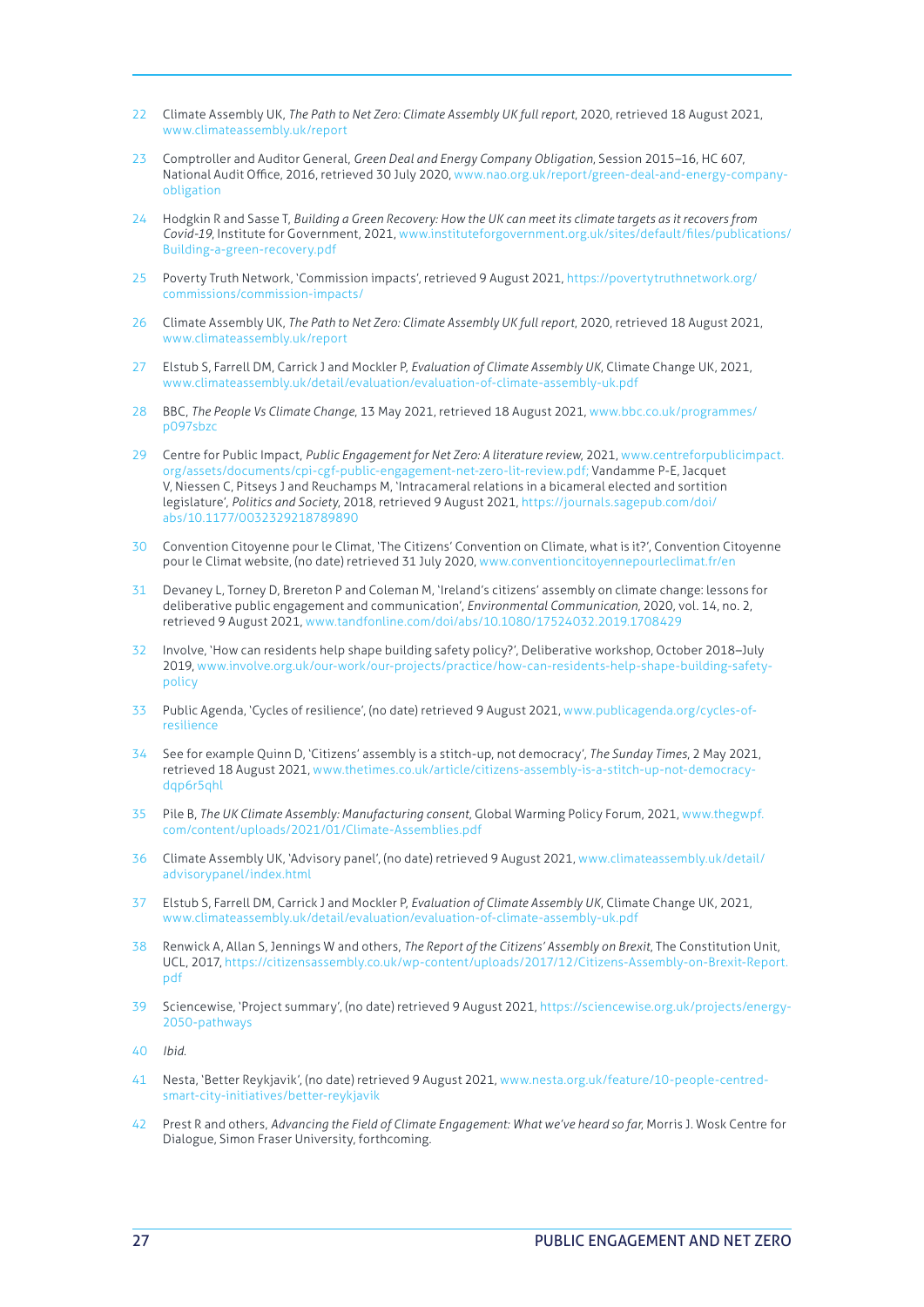- <span id="page-26-0"></span>22 Climate Assembly UK, *The Path to Net Zero: Climate Assembly UK full report*, 2020, retrieved 18 August 2021, [www.climateassembly.uk/report](http://www.climateassembly.uk/report)
- 23 Comptroller and Auditor General, *Green Deal and Energy Company Obligation*, Session 2015–16, HC 607, National Audit Office, 2016, retrieved 30 July 2020, [www.nao.org.uk/report/green-deal-and-energy-company](http://www.nao.org.uk/report/green-deal-and-energy-company-obligation)[obligation](http://www.nao.org.uk/report/green-deal-and-energy-company-obligation)
- [24](#page-8-0) Hodgkin R and Sasse T, *Building a Green Recovery: How the UK can meet its climate targets as it recovers from Covid-19*, Institute for Government, 2021, [www.instituteforgovernment.org.uk/sites/default/files/publications/](http://www.instituteforgovernment.org.uk/sites/default/files/publications/Building-a-green-recovery.pdf) [Building-a-green-recovery.pdf](http://www.instituteforgovernment.org.uk/sites/default/files/publications/Building-a-green-recovery.pdf)
- [25](#page-8-0) Poverty Truth Network, 'Commission impacts', retrieved 9 August 2021, [https://povertytruthnetwork.org/](https://povertytruthnetwork.org/commissions/commission-impacts/) [commissions/commission-impacts/](https://povertytruthnetwork.org/commissions/commission-impacts/)
- [26](#page-9-0) Climate Assembly UK, *The Path to Net Zero: Climate Assembly UK full report*, 2020, retrieved 18 August 2021, [www.climateassembly.uk/report](http://www.climateassembly.uk/report)
- [27](#page-9-0) Elstub S, Farrell DM, Carrick J and Mockler P, *Evaluation of Climate Assembly UK*, Climate Change UK, 2021, [www.climateassembly.uk/detail/evaluation/evaluation-of-climate-assembly-uk.pdf](https://www.climateassembly.uk/detail/evaluation/evaluation-of-climate-assembly-uk.pdf)
- [28](#page-9-0) BBC, *The People Vs Climate Change*, 13 May 2021, retrieved 18 August 2021, [www.bbc.co.uk/programmes/](https://www.bbc.co.uk/programmes/p097sbzc) [p097sbzc](https://www.bbc.co.uk/programmes/p097sbzc)
- [29](#page-10-0) Centre for Public Impact, *Public Engagement for Net Zero: A literature review*, 2021, [www.centreforpublicimpact.](https://www.centreforpublicimpact.org/assets/documents/cpi-cgf-public-engagement-net-zero-lit-review.pdf) [org/assets/documents/cpi-cgf-public-engagement-net-zero-lit-review.pdf](https://www.centreforpublicimpact.org/assets/documents/cpi-cgf-public-engagement-net-zero-lit-review.pdf); Vandamme P-E, Jacquet V, Niessen C, Pitseys J and Reuchamps M, 'Intracameral relations in a bicameral elected and sortition legislature', *Politics and Society*, 2018, retrieved 9 August 2021, [https://journals.sagepub.com/doi/](https://journals.sagepub.com/doi/abs/10.1177/0032329218789890) [abs/10.1177/0032329218789890](https://journals.sagepub.com/doi/abs/10.1177/0032329218789890)
- [30](#page-10-0) Convention Citoyenne pour le Climat, 'The Citizens' Convention on Climate, what is it?', Convention Citoyenne pour le Climat website, (no date) retrieved 31 July 2020, [www.conventioncitoyennepourleclimat.fr/en](http://www.conventioncitoyennepourleclimat.fr/en)
- [31](#page-10-0) Devaney L, Torney D, Brereton P and Coleman M, 'Ireland's citizens' assembly on climate change: lessons for deliberative public engagement and communication', *Environmental Communication*, 2020, vol. 14, no. 2, retrieved 9 August 2021, [www.tandfonline.com/doi/abs/10.1080/17524032.2019.1708429](https://www.tandfonline.com/doi/abs/10.1080/17524032.2019.1708429)
- [32](#page-12-0) Involve, 'How can residents help shape building safety policy?', Deliberative workshop, October 2018–July 2019, [www.involve.org.uk/our-work/our-projects/practice/how-can-residents-help-shape-building-safety](http://www.involve.org.uk/our-work/our-projects/practice/how-can-residents-help-shape-building-safety-policy)[policy](http://www.involve.org.uk/our-work/our-projects/practice/how-can-residents-help-shape-building-safety-policy)
- [33](#page-14-0) Public Agenda, 'Cycles of resilience', (no date) retrieved 9 August 2021, [www.publicagenda.org/cycles-of](http://www.publicagenda.org/cycles-of-resilience)[resilience](http://www.publicagenda.org/cycles-of-resilience)
- [34](#page-16-0) See for example Quinn D, 'Citizens' assembly is a stitch-up, not democracy', *The Sunday Times*, 2 May 2021, retrieved 18 August 2021, [www.thetimes.co.uk/article/citizens-assembly-is-a-stitch-up-not-democracy](http://www.thetimes.co.uk/article/citizens-assembly-is-a-stitch-up-not-democracy-dqp6r5qhl )[dqp6r5qhl](http://www.thetimes.co.uk/article/citizens-assembly-is-a-stitch-up-not-democracy-dqp6r5qhl )
- [35](#page-16-0) Pile B, *The UK Climate Assembly: Manufacturing consent*, Global Warming Policy Forum, 2021, [www.thegwpf.](http://www.thegwpf.com/content/uploads/2021/01/Climate-Assemblies.pdf) [com/content/uploads/2021/01/Climate-Assemblies.pdf](http://www.thegwpf.com/content/uploads/2021/01/Climate-Assemblies.pdf)
- [36](#page-16-0) Climate Assembly UK, 'Advisory panel', (no date) retrieved 9 August 2021, [www.climateassembly.uk/detail/](http://www.climateassembly.uk/detail/advisorypanel/index.html) [advisorypanel/index.html](http://www.climateassembly.uk/detail/advisorypanel/index.html)
- [37](#page-17-0) Elstub S, Farrell DM, Carrick J and Mockler P, *Evaluation of Climate Assembly UK*, Climate Change UK, 2021, [www.climateassembly.uk/detail/evaluation/evaluation-of-climate-assembly-uk.pdf](https://www.climateassembly.uk/detail/evaluation/evaluation-of-climate-assembly-uk.pdf)
- [38](#page-17-0) Renwick A, Allan S, Jennings W and others, *The Report of the Citizens' Assembly on Brexit*, The Constitution Unit, UCL, 2017, h[ttps://citizensassembly.co.uk/wp-content/uploads/2017/12/Citizens-Assembly-on-Brexit-Report.](https://citizensassembly.co.uk/wp-content/uploads/2017/12/Citizens-Assembly-on-Brexit-Report.pdf  ) [pdf](https://citizensassembly.co.uk/wp-content/uploads/2017/12/Citizens-Assembly-on-Brexit-Report.pdf  )
- [39](#page-18-0) Sciencewise, 'Project summary', (no date) retrieved 9 August 2021, https://s[ciencewise.org.uk/projects/energy-](https://sciencewise.org.uk/projects/energy-2050-pathways/)[2050-pathways](https://sciencewise.org.uk/projects/energy-2050-pathways/)
- [40](#page-19-0) *Ibid*.
- [41](#page-19-0) Nesta, 'Better Reykjavik', (no date) retrieved 9 August 2021, [www.nesta.org.uk/feature/10-people-centred](http://www.nesta.org.uk/feature/10-people-centred-smart-city-initiatives/better-reykjavik)[smart-city-initiatives/better-reykjavik](http://www.nesta.org.uk/feature/10-people-centred-smart-city-initiatives/better-reykjavik)
- [42](#page-19-0) Prest R and others, *Advancing the Field of Climate Engagement: What we've heard so far*, Morris J. Wosk Centre for Dialogue, Simon Fraser University, forthcoming.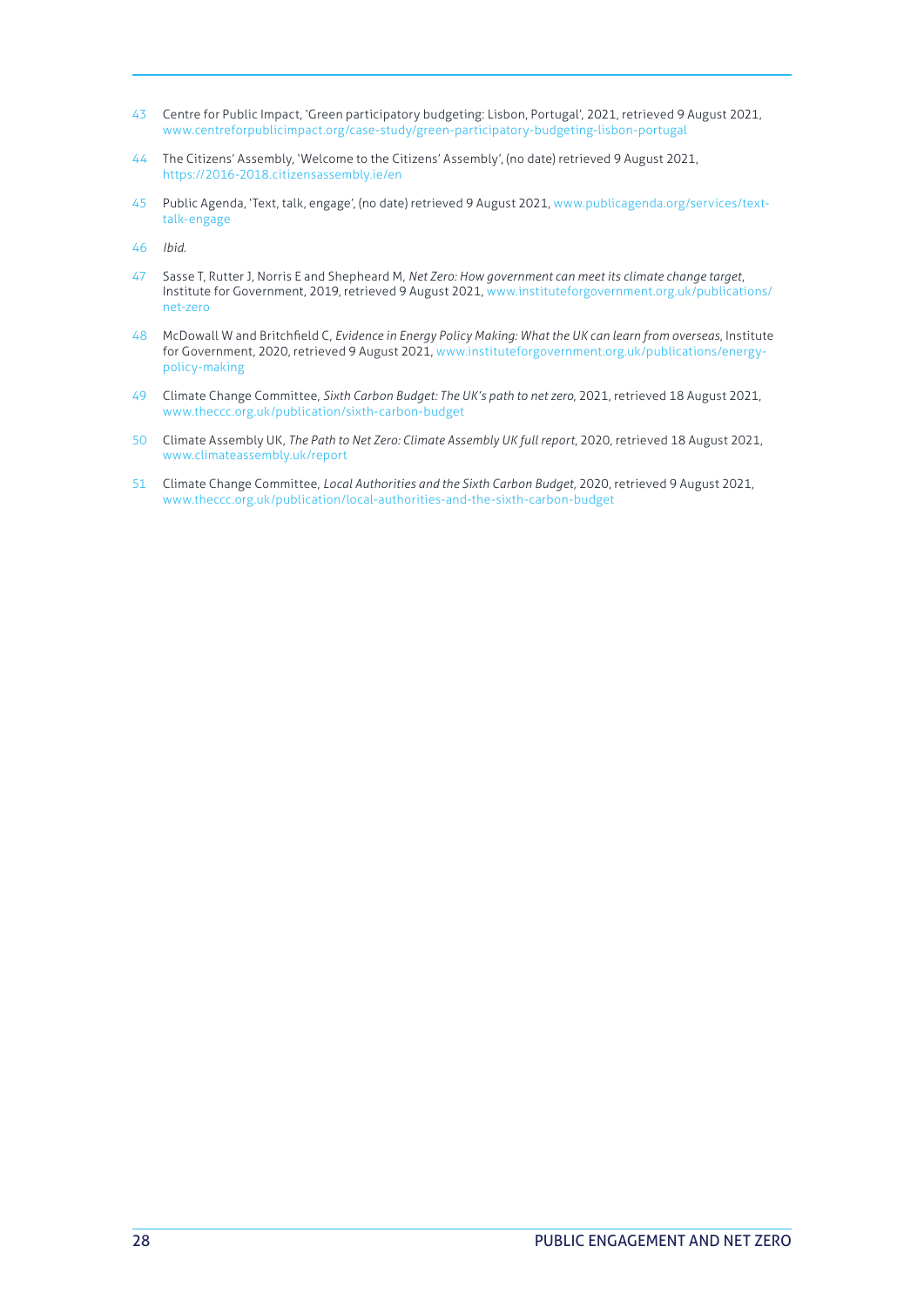- <span id="page-27-0"></span>[43](#page-19-0) Centre for Public Impact, 'Green participatory budgeting: Lisbon, Portugal', 2021, retrieved 9 August 2021, [www.centreforpublicimpact.org/case-study/green-participatory-budgeting-lisbon-portugal](http://www.centreforpublicimpact.org/case-study/green-participatory-budgeting-lisbon-portugal)
- [44](#page-19-0) The Citizens' Assembly, 'Welcome to the Citizens' Assembly', (no date) retrieved 9 August 2021, h[ttps://2016-2018.citizensassembly.ie/en](https://2016-2018.citizensassembly.ie/en)
- [45](#page-19-0) Public Agenda, 'Text, talk, engage', (no date) retrieved 9 August 2021, [www.publicagenda.org/services/text](http://www.publicagenda.org/services/text-talk-engage)[talk-engage](http://www.publicagenda.org/services/text-talk-engage)
- [46](#page-19-0) *Ibid*.
- [47](#page-21-0) Sasse T, Rutter J, Norris E and Shepheard M, *Net Zero: How government can meet its climate change target*, Institute for Government, 2019, retrieved 9 August 2021, [www.instituteforgovernment.org.uk/publications/](http://www.instituteforgovernment.org.uk/publications/net-zero) [net-zero](http://www.instituteforgovernment.org.uk/publications/net-zero)
- [48](#page-22-0) McDowall W and Britchfield C, *Evidence in Energy Policy Making: What the UK can learn from overseas*, Institute for Government, 2020, retrieved 9 August 2021, [www.instituteforgovernment.org.uk/publications/energy](http://www.instituteforgovernment.org.uk/publications/energy-policy-making)[policy-making](http://www.instituteforgovernment.org.uk/publications/energy-policy-making)
- 49 Climate Change Committee, *Sixth Carbon Budget: The UK's path to net zero*, 2021, retrieved 18 August 2021, [www.theccc.org.uk/publication/sixth-carbon-budget](http://www.theccc.org.uk/publication/sixth-carbon-budget)
- 50 Climate Assembly UK, *The Path to Net Zero: Climate Assembly UK full report*, 2020, retrieved 18 August 2021, [www.climateassembly.uk/report](http://www.climateassembly.uk/report)
- 51 Climate Change Committee, *Local Authorities and the Sixth Carbon Budget*, 2020, retrieved 9 August 2021, [www.theccc.org.uk/publication/local-authorities-and-the-sixth-carbon-budget](http://www.theccc.org.uk/publication/local-authorities-and-the-sixth-carbon-budget)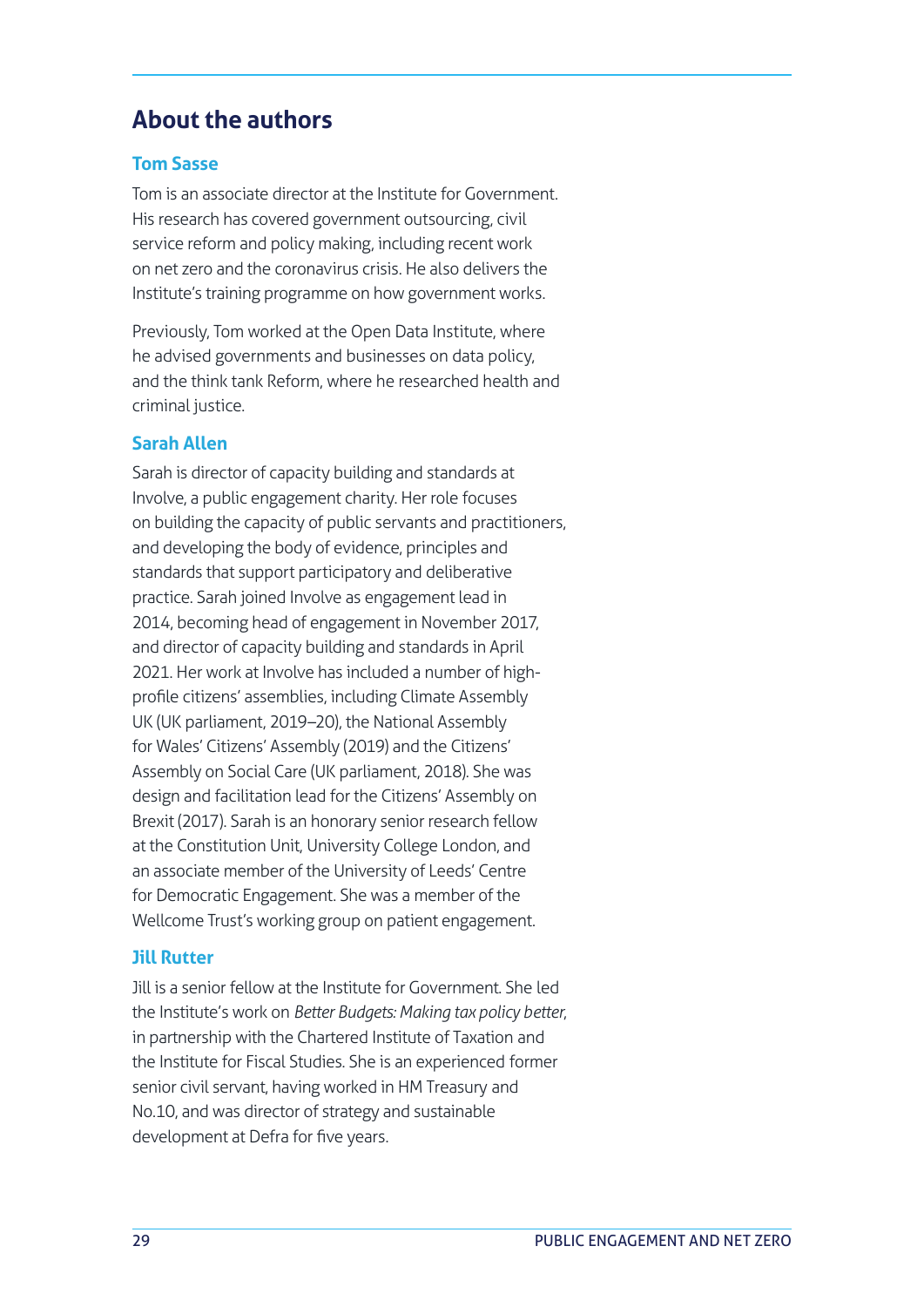## **About the authors**

#### **Tom Sasse**

Tom is an associate director at the Institute for Government. His research has covered government outsourcing, civil service reform and policy making, including recent work on net zero and the coronavirus crisis. He also delivers the Institute's training programme on how government works.

Previously, Tom worked at the Open Data Institute, where he advised governments and businesses on data policy, and the think tank Reform, where he researched health and criminal justice.

#### **Sarah Allen**

Sarah is director of capacity building and standards at Involve, a public engagement charity. Her role focuses on building the capacity of public servants and practitioners, and developing the body of evidence, principles and standards that support participatory and deliberative practice. Sarah joined Involve as engagement lead in 2014, becoming head of engagement in November 2017, and director of capacity building and standards in April 2021. Her work at Involve has included a number of highprofile citizens' assemblies, including Climate Assembly UK (UK parliament, 2019–20), the National Assembly for Wales' Citizens' Assembly (2019) and the Citizens' Assembly on Social Care (UK parliament, 2018). She was design and facilitation lead for the Citizens' Assembly on Brexit (2017). Sarah is an honorary senior research fellow at the Constitution Unit, University College London, and an associate member of the University of Leeds' Centre for Democratic Engagement. She was a member of the Wellcome Trust's working group on patient engagement.

#### **Jill Rutter**

Jill is a senior fellow at the Institute for Government. She led the Institute's work on *Better Budgets: Making tax policy better*, in partnership with the Chartered Institute of Taxation and the Institute for Fiscal Studies. She is an experienced former senior civil servant, having worked in HM Treasury and No.10, and was director of strategy and sustainable development at Defra for five years.